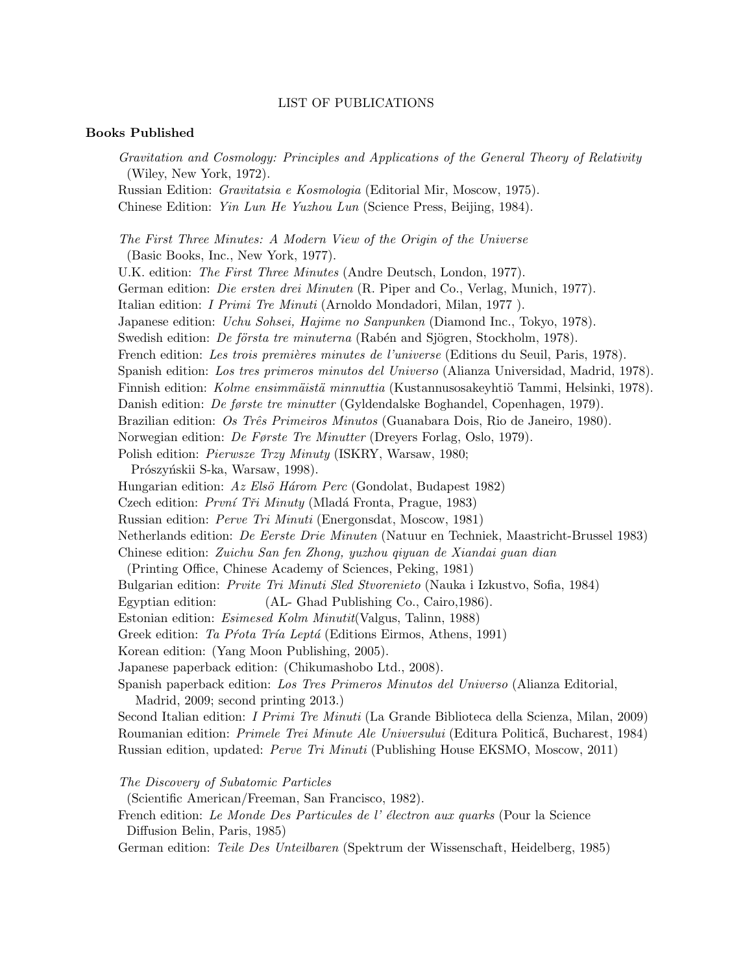## LIST OF PUBLICATIONS

## Books Published

Gravitation and Cosmology: Principles and Applications of the General Theory of Relativity (Wiley, New York, 1972).

Russian Edition: Gravitatsia e Kosmologia (Editorial Mir, Moscow, 1975). Chinese Edition: Yin Lun He Yuzhou Lun (Science Press, Beijing, 1984).

The First Three Minutes: A Modern View of the Origin of the Universe (Basic Books, Inc., New York, 1977).

U.K. edition: The First Three Minutes (Andre Deutsch, London, 1977). German edition: Die ersten drei Minuten (R. Piper and Co., Verlag, Munich, 1977). Italian edition: I Primi Tre Minuti (Arnoldo Mondadori, Milan, 1977 ). Japanese edition: Uchu Sohsei, Hajime no Sanpunken (Diamond Inc., Tokyo, 1978). Swedish edition: *De första tre minuterna* (Rabén and Sjögren, Stockholm, 1978). French edition: Les trois premières minutes de l'universe (Editions du Seuil, Paris, 1978). Spanish edition: Los tres primeros minutos del Universo (Alianza Universidad, Madrid, 1978). Finnish edition: Kolme ensimmäistä minnuttia (Kustannusosakeyhtiö Tammi, Helsinki, 1978). Danish edition: De første tre minutter (Gyldendalske Boghandel, Copenhagen, 1979). Brazilian edition: Os Três Primeiros Minutos (Guanabara Dois, Rio de Janeiro, 1980). Norwegian edition: De Første Tre Minutter (Dreyers Forlag, Oslo, 1979). Polish edition: Pierwsze Trzy Minuty (ISKRY, Warsaw, 1980;

Prószyńskii S-ka, Warsaw, 1998).

Hungarian edition:  $Az Els\ddot{o} Három Perc$  (Gondolat, Budapest 1982)

Czech edition: *První Tři Minuty* (Mladá Fronta, Prague, 1983)

Russian edition: Perve Tri Minuti (Energonsdat, Moscow, 1981)

Netherlands edition: De Eerste Drie Minuten (Natuur en Techniek, Maastricht-Brussel 1983)

Chinese edition: Zuichu San fen Zhong, yuzhou qiyuan de Xiandai guan dian

(Printing Office, Chinese Academy of Sciences, Peking, 1981)

Bulgarian edition: Prvite Tri Minuti Sled Stvorenieto (Nauka i Izkustvo, Sofia, 1984)

Egyptian edition: (AL- Ghad Publishing Co., Cairo,1986).

Estonian edition: Esimesed Kolm Minutit(Valgus, Talinn, 1988)

Greek edition: Ta Prota Tría Leptá (Editions Eirmos, Athens, 1991)

Korean edition: (Yang Moon Publishing, 2005).

Japanese paperback edition: (Chikumashobo Ltd., 2008).

Spanish paperback edition: Los Tres Primeros Minutos del Universo (Alianza Editorial, Madrid, 2009; second printing 2013.)

Second Italian edition: I Primi Tre Minuti (La Grande Biblioteca della Scienza, Milan, 2009) Roumanian edition: *Primele Trei Minute Ale Universului* (Editura Politică, Bucharest, 1984) Russian edition, updated: Perve Tri Minuti (Publishing House EKSMO, Moscow, 2011)

The Discovery of Subatomic Particles

(Scientific American/Freeman, San Francisco, 1982).

French edition: Le Monde Des Particules de l'électron aux quarks (Pour la Science Diffusion Belin, Paris, 1985)

German edition: Teile Des Unteilbaren (Spektrum der Wissenschaft, Heidelberg, 1985)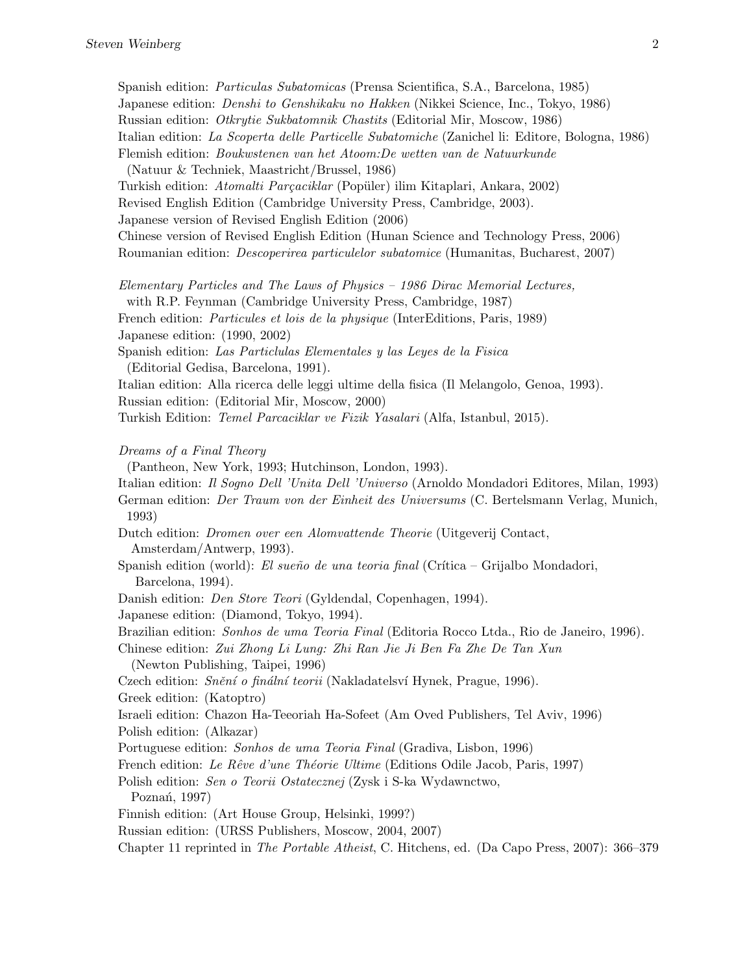Spanish edition: Particulas Subatomicas (Prensa Scientifica, S.A., Barcelona, 1985) Japanese edition: Denshi to Genshikaku no Hakken (Nikkei Science, Inc., Tokyo, 1986) Russian edition: Otkrytie Sukbatomnik Chastits (Editorial Mir, Moscow, 1986) Italian edition: La Scoperta delle Particelle Subatomiche (Zanichel li: Editore, Bologna, 1986) Flemish edition: Boukwstenen van het Atoom:De wetten van de Natuurkunde (Natuur & Techniek, Maastricht/Brussel, 1986) Turkish edition: Atomalti Parcaciklar (Popüler) ilim Kitaplari, Ankara, 2002) Revised English Edition (Cambridge University Press, Cambridge, 2003). Japanese version of Revised English Edition (2006) Chinese version of Revised English Edition (Hunan Science and Technology Press, 2006) Roumanian edition: Descoperirea particulelor subatomice (Humanitas, Bucharest, 2007) Elementary Particles and The Laws of Physics – 1986 Dirac Memorial Lectures, with R.P. Feynman (Cambridge University Press, Cambridge, 1987) French edition: Particules et lois de la physique (InterEditions, Paris, 1989) Japanese edition: (1990, 2002) Spanish edition: Las Particlulas Elementales y las Leyes de la Fisica (Editorial Gedisa, Barcelona, 1991). Italian edition: Alla ricerca delle leggi ultime della fisica (Il Melangolo, Genoa, 1993). Russian edition: (Editorial Mir, Moscow, 2000) Turkish Edition: Temel Parcaciklar ve Fizik Yasalari (Alfa, Istanbul, 2015). Dreams of a Final Theory (Pantheon, New York, 1993; Hutchinson, London, 1993). Italian edition: Il Sogno Dell 'Unita Dell 'Universo (Arnoldo Mondadori Editores, Milan, 1993) German edition: Der Traum von der Einheit des Universums (C. Bertelsmann Verlag, Munich, 1993) Dutch edition: Dromen over een Alomvattende Theorie (Uitgeverij Contact, Amsterdam/Antwerp, 1993). Spanish edition (world): El sueño de una teoria final (Crítica – Grijalbo Mondadori, Barcelona, 1994). Danish edition: Den Store Teori (Gyldendal, Copenhagen, 1994). Japanese edition: (Diamond, Tokyo, 1994). Brazilian edition: Sonhos de uma Teoria Final (Editoria Rocco Ltda., Rio de Janeiro, 1996). Chinese edition: Zui Zhong Li Lung: Zhi Ran Jie Ji Ben Fa Zhe De Tan Xun (Newton Publishing, Taipei, 1996) Czech edition: Snění o finální teorii (Nakladatelsví Hynek, Prague, 1996). Greek edition: (Katoptro) Israeli edition: Chazon Ha-Teeoriah Ha-Sofeet (Am Oved Publishers, Tel Aviv, 1996) Polish edition: (Alkazar) Portuguese edition: Sonhos de uma Teoria Final (Gradiva, Lisbon, 1996) French edition: Le Rêve d'une Théorie Ultime (Editions Odile Jacob, Paris, 1997) Polish edition: Sen o Teorii Ostatecznej (Zysk i S-ka Wydawnctwo, Poznań, 1997) Finnish edition: (Art House Group, Helsinki, 1999?) Russian edition: (URSS Publishers, Moscow, 2004, 2007) Chapter 11 reprinted in The Portable Atheist, C. Hitchens, ed. (Da Capo Press, 2007): 366–379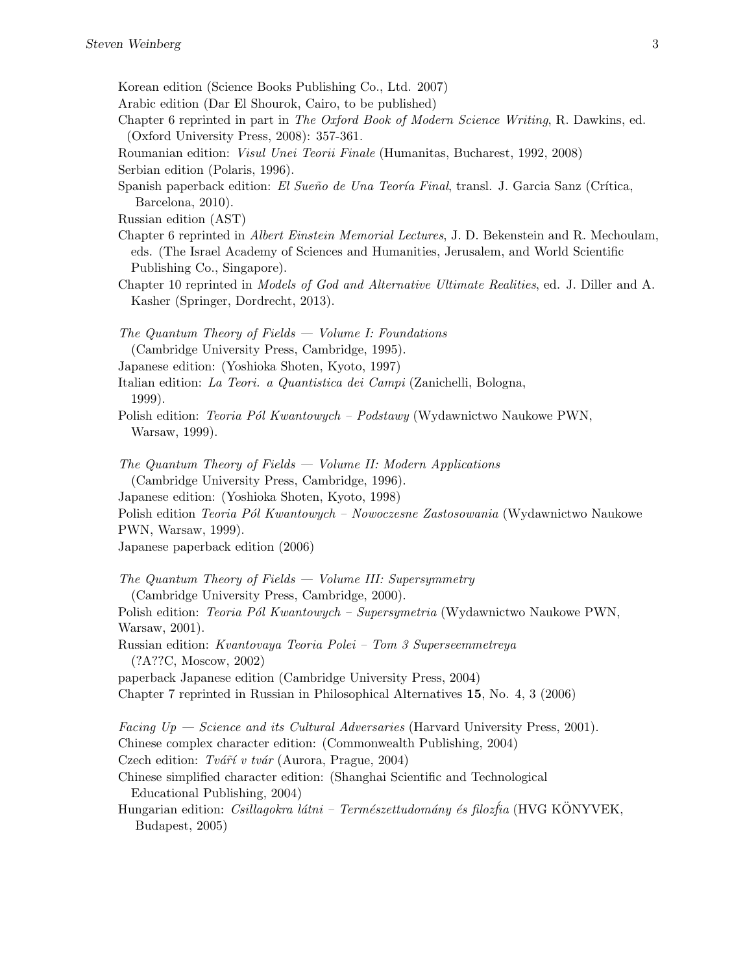- Korean edition (Science Books Publishing Co., Ltd. 2007)
- Arabic edition (Dar El Shourok, Cairo, to be published)
- Chapter 6 reprinted in part in The Oxford Book of Modern Science Writing, R. Dawkins, ed. (Oxford University Press, 2008): 357-361.
- Roumanian edition: Visul Unei Teorii Finale (Humanitas, Bucharest, 1992, 2008) Serbian edition (Polaris, 1996).
- Spanish paperback edition: El Sueño de Una Teoría Final, transl. J. Garcia Sanz (Crítica, Barcelona, 2010).
- Russian edition (AST)
- Chapter 6 reprinted in Albert Einstein Memorial Lectures, J. D. Bekenstein and R. Mechoulam, eds. (The Israel Academy of Sciences and Humanities, Jerusalem, and World Scientific Publishing Co., Singapore).
- Chapter 10 reprinted in Models of God and Alternative Ultimate Realities, ed. J. Diller and A. Kasher (Springer, Dordrecht, 2013).
- The Quantum Theory of Fields Volume I: Foundations (Cambridge University Press, Cambridge, 1995).
- Japanese edition: (Yoshioka Shoten, Kyoto, 1997)
- Italian edition: La Teori. a Quantistica dei Campi (Zanichelli, Bologna, 1999).
- Polish edition: Teoria Pól Kwantowych Podstawy (Wydawnictwo Naukowe PWN, Warsaw, 1999).
- The Quantum Theory of Fields Volume II: Modern Applications (Cambridge University Press, Cambridge, 1996).
- Japanese edition: (Yoshioka Shoten, Kyoto, 1998)
- Polish edition *Teoria Pól Kwantowych Nowoczesne Zastosowania* (Wydawnictwo Naukowe PWN, Warsaw, 1999).
- Japanese paperback edition (2006)
- The Quantum Theory of Fields Volume III: Supersymmetry (Cambridge University Press, Cambridge, 2000). Polish edition: Teoria Pól Kwantowych – Supersymetria (Wydawnictwo Naukowe PWN, Warsaw, 2001). Russian edition: Kvantovaya Teoria Polei – Tom 3 Superseemmetreya (?A??C, Moscow, 2002) paperback Japanese edition (Cambridge University Press, 2004) Chapter 7 reprinted in Russian in Philosophical Alternatives 15, No. 4, 3 (2006) Facing  $Up - Science$  and its Cultural Adversaries (Harvard University Press, 2001). Chinese complex character edition: (Commonwealth Publishing, 2004)
- Czech edition: Tvár $\tilde{r}$  v tvár (Aurora, Prague, 2004)
- Chinese simplified character edition: (Shanghai Scientific and Technological Educational Publishing, 2004)
- Hungarian edition: Csillagokra látni Természettudomány és filozfia (HVG KÖNYVEK, Budapest, 2005)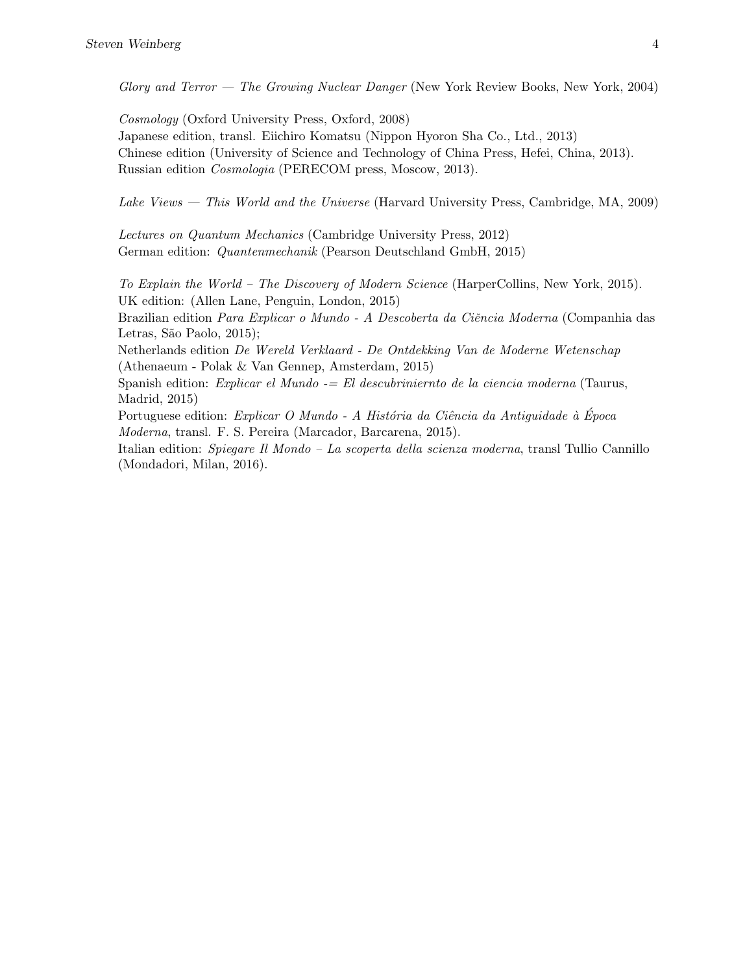Glory and Terror — The Growing Nuclear Danger (New York Review Books, New York, 2004)

Cosmology (Oxford University Press, Oxford, 2008) Japanese edition, transl. Eiichiro Komatsu (Nippon Hyoron Sha Co., Ltd., 2013) Chinese edition (University of Science and Technology of China Press, Hefei, China, 2013). Russian edition Cosmologia (PERECOM press, Moscow, 2013).

Lake Views — This World and the Universe (Harvard University Press, Cambridge, MA, 2009)

Lectures on Quantum Mechanics (Cambridge University Press, 2012) German edition: Quantenmechanik (Pearson Deutschland GmbH, 2015)

To Explain the World – The Discovery of Modern Science (HarperCollins, New York, 2015). UK edition: (Allen Lane, Penguin, London, 2015)

Brazilian edition Para Explicar o Mundo - A Descoberta da Ciência Moderna (Companhia das Letras, São Paolo, 2015);

Netherlands edition De Wereld Verklaard - De Ontdekking Van de Moderne Wetenschap (Athenaeum - Polak & Van Gennep, Amsterdam, 2015)

Spanish edition: Explicar el Mundo  $=$  El descubriniernto de la ciencia moderna (Taurus, Madrid, 2015)

Portuguese edition: Explicar O Mundo - A História da Ciência da Antiguidade à Época Moderna, transl. F. S. Pereira (Marcador, Barcarena, 2015).

Italian edition: Spiegare Il Mondo – La scoperta della scienza moderna, transl Tullio Cannillo (Mondadori, Milan, 2016).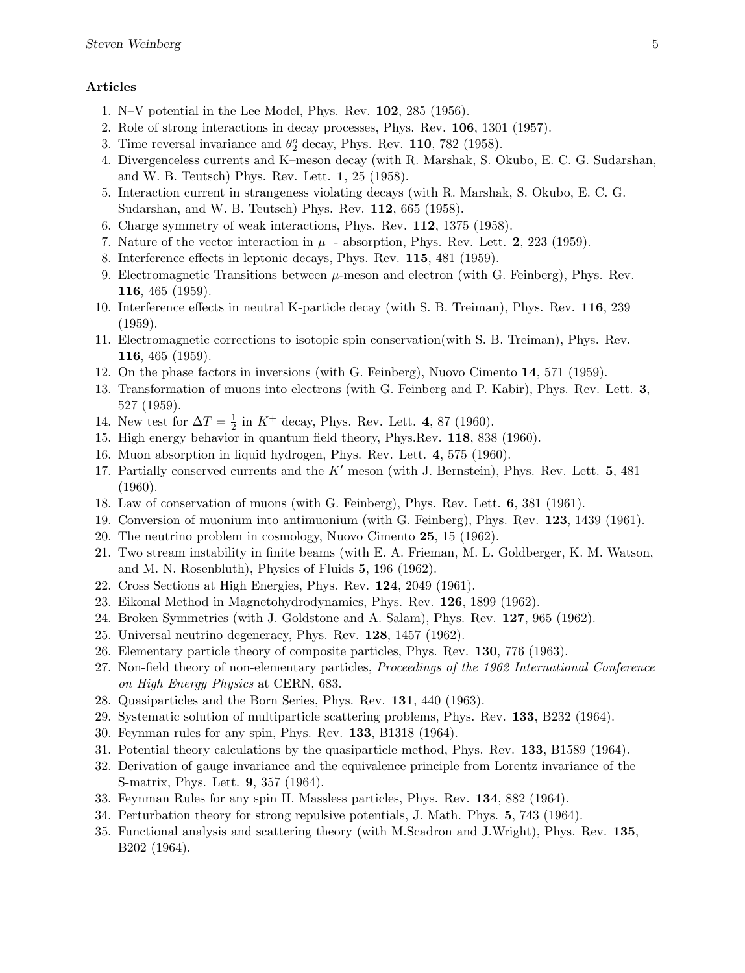## Articles

- 1. N–V potential in the Lee Model, Phys. Rev. 102, 285 (1956).
- 2. Role of strong interactions in decay processes, Phys. Rev. 106, 1301 (1957).
- 3. Time reversal invariance and  $\theta_2^o$  decay, Phys. Rev. 110, 782 (1958).
- 4. Divergenceless currents and K–meson decay (with R. Marshak, S. Okubo, E. C. G. Sudarshan, and W. B. Teutsch) Phys. Rev. Lett. 1, 25 (1958).
- 5. Interaction current in strangeness violating decays (with R. Marshak, S. Okubo, E. C. G. Sudarshan, and W. B. Teutsch) Phys. Rev. 112, 665 (1958).
- 6. Charge symmetry of weak interactions, Phys. Rev. 112, 1375 (1958).
- 7. Nature of the vector interaction in  $\mu^-$  absorption, Phys. Rev. Lett. 2, 223 (1959).
- 8. Interference effects in leptonic decays, Phys. Rev. 115, 481 (1959).
- 9. Electromagnetic Transitions between  $\mu$ -meson and electron (with G. Feinberg), Phys. Rev. 116, 465 (1959).
- 10. Interference effects in neutral K-particle decay (with S. B. Treiman), Phys. Rev. 116, 239 (1959).
- 11. Electromagnetic corrections to isotopic spin conservation(with S. B. Treiman), Phys. Rev. 116, 465 (1959).
- 12. On the phase factors in inversions (with G. Feinberg), Nuovo Cimento 14, 571 (1959).
- 13. Transformation of muons into electrons (with G. Feinberg and P. Kabir), Phys. Rev. Lett. 3, 527 (1959).
- 14. New test for  $\Delta T = \frac{1}{2}$  $\frac{1}{2}$  in  $K^+$  decay, Phys. Rev. Lett. 4, 87 (1960).
- 15. High energy behavior in quantum field theory, Phys.Rev. 118, 838 (1960).
- 16. Muon absorption in liquid hydrogen, Phys. Rev. Lett. 4, 575 (1960).
- 17. Partially conserved currents and the  $K'$  meson (with J. Bernstein), Phys. Rev. Lett. 5, 481 (1960).
- 18. Law of conservation of muons (with G. Feinberg), Phys. Rev. Lett. 6, 381 (1961).
- 19. Conversion of muonium into antimuonium (with G. Feinberg), Phys. Rev. 123, 1439 (1961).
- 20. The neutrino problem in cosmology, Nuovo Cimento 25, 15 (1962).
- 21. Two stream instability in finite beams (with E. A. Frieman, M. L. Goldberger, K. M. Watson, and M. N. Rosenbluth), Physics of Fluids 5, 196 (1962).
- 22. Cross Sections at High Energies, Phys. Rev. 124, 2049 (1961).
- 23. Eikonal Method in Magnetohydrodynamics, Phys. Rev. 126, 1899 (1962).
- 24. Broken Symmetries (with J. Goldstone and A. Salam), Phys. Rev. 127, 965 (1962).
- 25. Universal neutrino degeneracy, Phys. Rev. 128, 1457 (1962).
- 26. Elementary particle theory of composite particles, Phys. Rev. 130, 776 (1963).
- 27. Non-field theory of non-elementary particles, Proceedings of the 1962 International Conference on High Energy Physics at CERN, 683.
- 28. Quasiparticles and the Born Series, Phys. Rev. 131, 440 (1963).
- 29. Systematic solution of multiparticle scattering problems, Phys. Rev. 133, B232 (1964).
- 30. Feynman rules for any spin, Phys. Rev. 133, B1318 (1964).
- 31. Potential theory calculations by the quasiparticle method, Phys. Rev. 133, B1589 (1964).
- 32. Derivation of gauge invariance and the equivalence principle from Lorentz invariance of the S-matrix, Phys. Lett. 9, 357 (1964).
- 33. Feynman Rules for any spin II. Massless particles, Phys. Rev. 134, 882 (1964).
- 34. Perturbation theory for strong repulsive potentials, J. Math. Phys. 5, 743 (1964).
- 35. Functional analysis and scattering theory (with M.Scadron and J.Wright), Phys. Rev. 135, B202 (1964).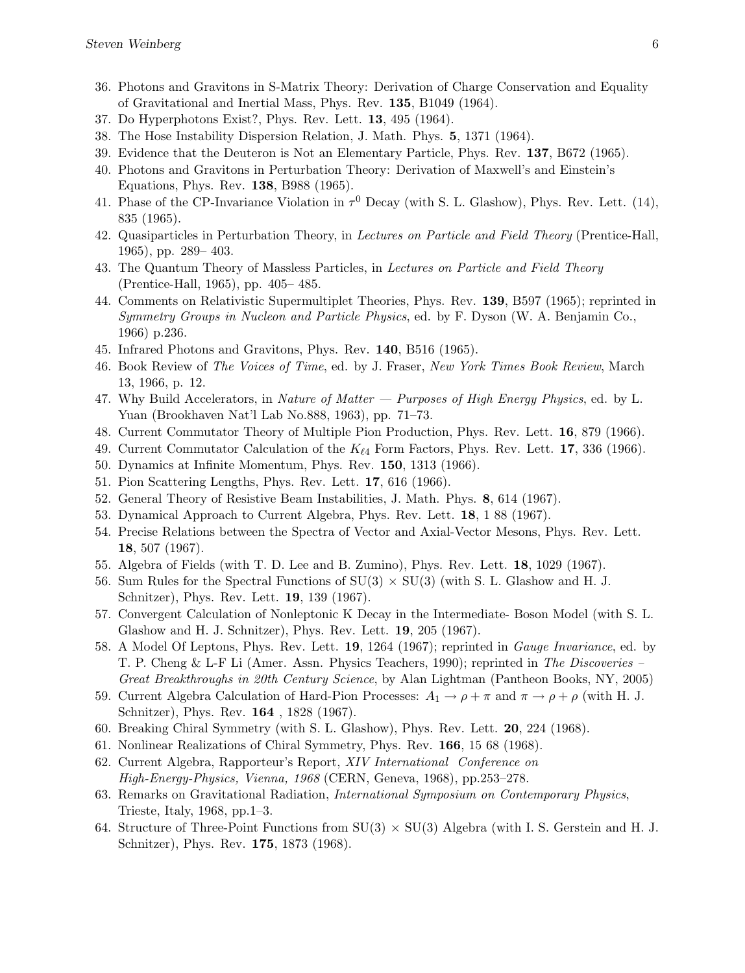- 36. Photons and Gravitons in S-Matrix Theory: Derivation of Charge Conservation and Equality of Gravitational and Inertial Mass, Phys. Rev. 135, B1049 (1964).
- 37. Do Hyperphotons Exist?, Phys. Rev. Lett. 13, 495 (1964).
- 38. The Hose Instability Dispersion Relation, J. Math. Phys. 5, 1371 (1964).
- 39. Evidence that the Deuteron is Not an Elementary Particle, Phys. Rev. 137, B672 (1965).
- 40. Photons and Gravitons in Perturbation Theory: Derivation of Maxwell's and Einstein's Equations, Phys. Rev. 138, B988 (1965).
- 41. Phase of the CP-Invariance Violation in  $\tau^0$  Decay (with S. L. Glashow), Phys. Rev. Lett. (14), 835 (1965).
- 42. Quasiparticles in Perturbation Theory, in Lectures on Particle and Field Theory (Prentice-Hall, 1965), pp. 289– 403.
- 43. The Quantum Theory of Massless Particles, in Lectures on Particle and Field Theory (Prentice-Hall, 1965), pp. 405– 485.
- 44. Comments on Relativistic Supermultiplet Theories, Phys. Rev. 139, B597 (1965); reprinted in Symmetry Groups in Nucleon and Particle Physics, ed. by F. Dyson (W. A. Benjamin Co., 1966) p.236.
- 45. Infrared Photons and Gravitons, Phys. Rev. 140, B516 (1965).
- 46. Book Review of The Voices of Time, ed. by J. Fraser, New York Times Book Review, March 13, 1966, p. 12.
- 47. Why Build Accelerators, in Nature of Matter  $-$  Purposes of High Energy Physics, ed. by L. Yuan (Brookhaven Nat'l Lab No.888, 1963), pp. 71–73.
- 48. Current Commutator Theory of Multiple Pion Production, Phys. Rev. Lett. 16, 879 (1966).
- 49. Current Commutator Calculation of the  $K_{\ell 4}$  Form Factors, Phys. Rev. Lett. 17, 336 (1966).
- 50. Dynamics at Infinite Momentum, Phys. Rev. 150, 1313 (1966).
- 51. Pion Scattering Lengths, Phys. Rev. Lett. 17, 616 (1966).
- 52. General Theory of Resistive Beam Instabilities, J. Math. Phys. 8, 614 (1967).
- 53. Dynamical Approach to Current Algebra, Phys. Rev. Lett. 18, 1 88 (1967).
- 54. Precise Relations between the Spectra of Vector and Axial-Vector Mesons, Phys. Rev. Lett. 18, 507 (1967).
- 55. Algebra of Fields (with T. D. Lee and B. Zumino), Phys. Rev. Lett. 18, 1029 (1967).
- 56. Sum Rules for the Spectral Functions of  $SU(3) \times SU(3)$  (with S. L. Glashow and H. J. Schnitzer), Phys. Rev. Lett. 19, 139 (1967).
- 57. Convergent Calculation of Nonleptonic K Decay in the Intermediate- Boson Model (with S. L. Glashow and H. J. Schnitzer), Phys. Rev. Lett. 19, 205 (1967).
- 58. A Model Of Leptons, Phys. Rev. Lett. 19, 1264 (1967); reprinted in Gauge Invariance, ed. by T. P. Cheng & L-F Li (Amer. Assn. Physics Teachers, 1990); reprinted in The Discoveries – Great Breakthroughs in 20th Century Science, by Alan Lightman (Pantheon Books, NY, 2005)
- 59. Current Algebra Calculation of Hard-Pion Processes:  $A_1 \rightarrow \rho + \pi$  and  $\pi \rightarrow \rho + \rho$  (with H. J. Schnitzer), Phys. Rev. 164 , 1828 (1967).
- 60. Breaking Chiral Symmetry (with S. L. Glashow), Phys. Rev. Lett. 20, 224 (1968).
- 61. Nonlinear Realizations of Chiral Symmetry, Phys. Rev. 166, 15 68 (1968).
- 62. Current Algebra, Rapporteur's Report, XIV International Conference on High-Energy-Physics, Vienna, 1968 (CERN, Geneva, 1968), pp.253–278.
- 63. Remarks on Gravitational Radiation, International Symposium on Contemporary Physics, Trieste, Italy, 1968, pp.1–3.
- 64. Structure of Three-Point Functions from  $SU(3) \times SU(3)$  Algebra (with I. S. Gerstein and H. J. Schnitzer), Phys. Rev. 175, 1873 (1968).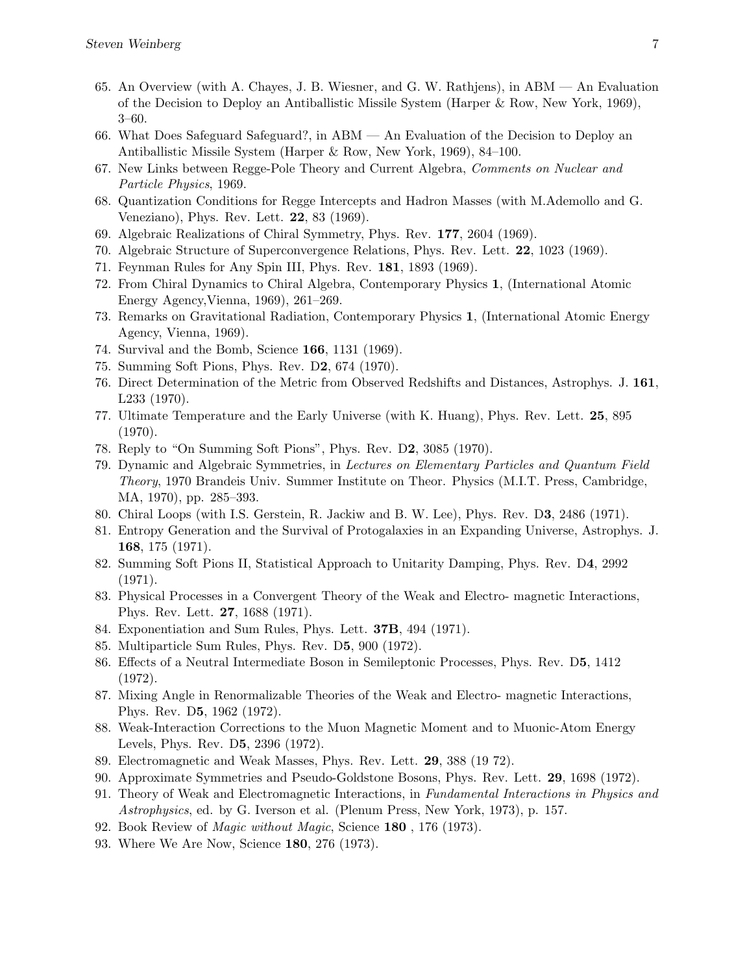- 65. An Overview (with A. Chayes, J. B. Wiesner, and G. W. Rathjens), in ABM An Evaluation of the Decision to Deploy an Antiballistic Missile System (Harper & Row, New York, 1969), 3–60.
- 66. What Does Safeguard Safeguard?, in ABM An Evaluation of the Decision to Deploy an Antiballistic Missile System (Harper & Row, New York, 1969), 84–100.
- 67. New Links between Regge-Pole Theory and Current Algebra, Comments on Nuclear and Particle Physics, 1969.
- 68. Quantization Conditions for Regge Intercepts and Hadron Masses (with M.Ademollo and G. Veneziano), Phys. Rev. Lett. 22, 83 (1969).
- 69. Algebraic Realizations of Chiral Symmetry, Phys. Rev. 177, 2604 (1969).
- 70. Algebraic Structure of Superconvergence Relations, Phys. Rev. Lett. 22, 1023 (1969).
- 71. Feynman Rules for Any Spin III, Phys. Rev. 181, 1893 (1969).
- 72. From Chiral Dynamics to Chiral Algebra, Contemporary Physics 1, (International Atomic Energy Agency,Vienna, 1969), 261–269.
- 73. Remarks on Gravitational Radiation, Contemporary Physics 1, (International Atomic Energy Agency, Vienna, 1969).
- 74. Survival and the Bomb, Science 166, 1131 (1969).
- 75. Summing Soft Pions, Phys. Rev. D2, 674 (1970).
- 76. Direct Determination of the Metric from Observed Redshifts and Distances, Astrophys. J. 161, L233 (1970).
- 77. Ultimate Temperature and the Early Universe (with K. Huang), Phys. Rev. Lett. 25, 895 (1970).
- 78. Reply to "On Summing Soft Pions", Phys. Rev. D2, 3085 (1970).
- 79. Dynamic and Algebraic Symmetries, in Lectures on Elementary Particles and Quantum Field Theory, 1970 Brandeis Univ. Summer Institute on Theor. Physics (M.I.T. Press, Cambridge, MA, 1970), pp. 285–393.
- 80. Chiral Loops (with I.S. Gerstein, R. Jackiw and B. W. Lee), Phys. Rev. D3, 2486 (1971).
- 81. Entropy Generation and the Survival of Protogalaxies in an Expanding Universe, Astrophys. J. 168, 175 (1971).
- 82. Summing Soft Pions II, Statistical Approach to Unitarity Damping, Phys. Rev. D4, 2992 (1971).
- 83. Physical Processes in a Convergent Theory of the Weak and Electro- magnetic Interactions, Phys. Rev. Lett. 27, 1688 (1971).
- 84. Exponentiation and Sum Rules, Phys. Lett. 37B, 494 (1971).
- 85. Multiparticle Sum Rules, Phys. Rev. D5, 900 (1972).
- 86. Effects of a Neutral Intermediate Boson in Semileptonic Processes, Phys. Rev. D5, 1412 (1972).
- 87. Mixing Angle in Renormalizable Theories of the Weak and Electro- magnetic Interactions, Phys. Rev. D5, 1962 (1972).
- 88. Weak-Interaction Corrections to the Muon Magnetic Moment and to Muonic-Atom Energy Levels, Phys. Rev. D5, 2396 (1972).
- 89. Electromagnetic and Weak Masses, Phys. Rev. Lett. 29, 388 (19 72).
- 90. Approximate Symmetries and Pseudo-Goldstone Bosons, Phys. Rev. Lett. 29, 1698 (1972).
- 91. Theory of Weak and Electromagnetic Interactions, in Fundamental Interactions in Physics and Astrophysics, ed. by G. Iverson et al. (Plenum Press, New York, 1973), p. 157.
- 92. Book Review of Magic without Magic, Science 180 , 176 (1973).
- 93. Where We Are Now, Science 180, 276 (1973).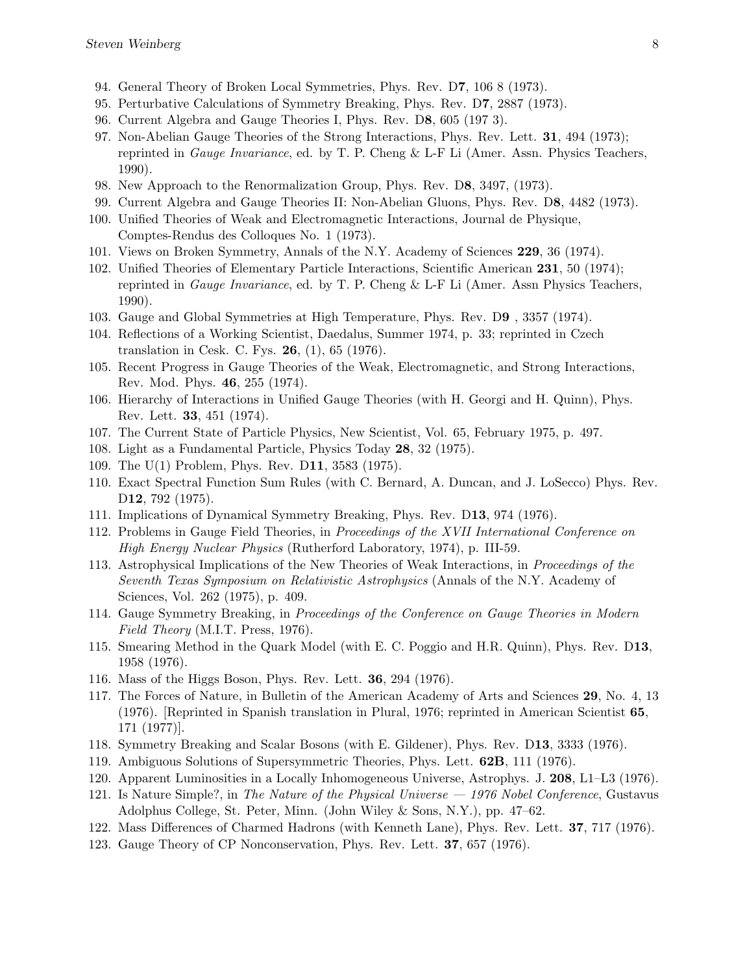- 94. General Theory of Broken Local Symmetries, Phys. Rev. D7, 106 8 (1973).
- 95. Perturbative Calculations of Symmetry Breaking, Phys. Rev. D7, 2887 (1973).
- 96. Current Algebra and Gauge Theories I, Phys. Rev. D8, 605 (197 3).
- 97. Non-Abelian Gauge Theories of the Strong Interactions, Phys. Rev. Lett. 31, 494 (1973); reprinted in Gauge Invariance, ed. by T. P. Cheng & L-F Li (Amer. Assn. Physics Teachers, 1990).
- 98. New Approach to the Renormalization Group, Phys. Rev. D8, 3497, (1973).
- 99. Current Algebra and Gauge Theories II: Non-Abelian Gluons, Phys. Rev. D8, 4482 (1973).
- 100. Unified Theories of Weak and Electromagnetic Interactions, Journal de Physique, Comptes-Rendus des Colloques No. 1 (1973).
- 101. Views on Broken Symmetry, Annals of the N.Y. Academy of Sciences 229, 36 (1974).
- 102. Unified Theories of Elementary Particle Interactions, Scientific American 231, 50 (1974); reprinted in Gauge Invariance, ed. by T. P. Cheng & L-F Li (Amer. Assn Physics Teachers, 1990).
- 103. Gauge and Global Symmetries at High Temperature, Phys. Rev. D9 , 3357 (1974).
- 104. Reflections of a Working Scientist, Daedalus, Summer 1974, p. 33; reprinted in Czech translation in Cesk. C. Fys. 26, (1), 65 (1976).
- 105. Recent Progress in Gauge Theories of the Weak, Electromagnetic, and Strong Interactions, Rev. Mod. Phys. 46, 255 (1974).
- 106. Hierarchy of Interactions in Unified Gauge Theories (with H. Georgi and H. Quinn), Phys. Rev. Lett. 33, 451 (1974).
- 107. The Current State of Particle Physics, New Scientist, Vol. 65, February 1975, p. 497.
- 108. Light as a Fundamental Particle, Physics Today 28, 32 (1975).
- 109. The U(1) Problem, Phys. Rev. D11, 3583 (1975).
- 110. Exact Spectral Function Sum Rules (with C. Bernard, A. Duncan, and J. LoSecco) Phys. Rev. D<sub>12</sub>, 792 (1975).
- 111. Implications of Dynamical Symmetry Breaking, Phys. Rev. D13, 974 (1976).
- 112. Problems in Gauge Field Theories, in Proceedings of the XVII International Conference on High Energy Nuclear Physics (Rutherford Laboratory, 1974), p. III-59.
- 113. Astrophysical Implications of the New Theories of Weak Interactions, in Proceedings of the Seventh Texas Symposium on Relativistic Astrophysics (Annals of the N.Y. Academy of Sciences, Vol. 262 (1975), p. 409.
- 114. Gauge Symmetry Breaking, in Proceedings of the Conference on Gauge Theories in Modern Field Theory (M.I.T. Press, 1976).
- 115. Smearing Method in the Quark Model (with E. C. Poggio and H.R. Quinn), Phys. Rev. D13, 1958 (1976).
- 116. Mass of the Higgs Boson, Phys. Rev. Lett. 36, 294 (1976).
- 117. The Forces of Nature, in Bulletin of the American Academy of Arts and Sciences 29, No. 4, 13 (1976). [Reprinted in Spanish translation in Plural, 1976; reprinted in American Scientist 65, 171 (1977)].
- 118. Symmetry Breaking and Scalar Bosons (with E. Gildener), Phys. Rev. D13, 3333 (1976).
- 119. Ambiguous Solutions of Supersymmetric Theories, Phys. Lett. 62B, 111 (1976).
- 120. Apparent Luminosities in a Locally Inhomogeneous Universe, Astrophys. J. 208, L1–L3 (1976).
- 121. Is Nature Simple?, in The Nature of the Physical Universe 1976 Nobel Conference, Gustavus Adolphus College, St. Peter, Minn. (John Wiley & Sons, N.Y.), pp. 47–62.
- 122. Mass Differences of Charmed Hadrons (with Kenneth Lane), Phys. Rev. Lett. 37, 717 (1976).
- 123. Gauge Theory of CP Nonconservation, Phys. Rev. Lett. 37, 657 (1976).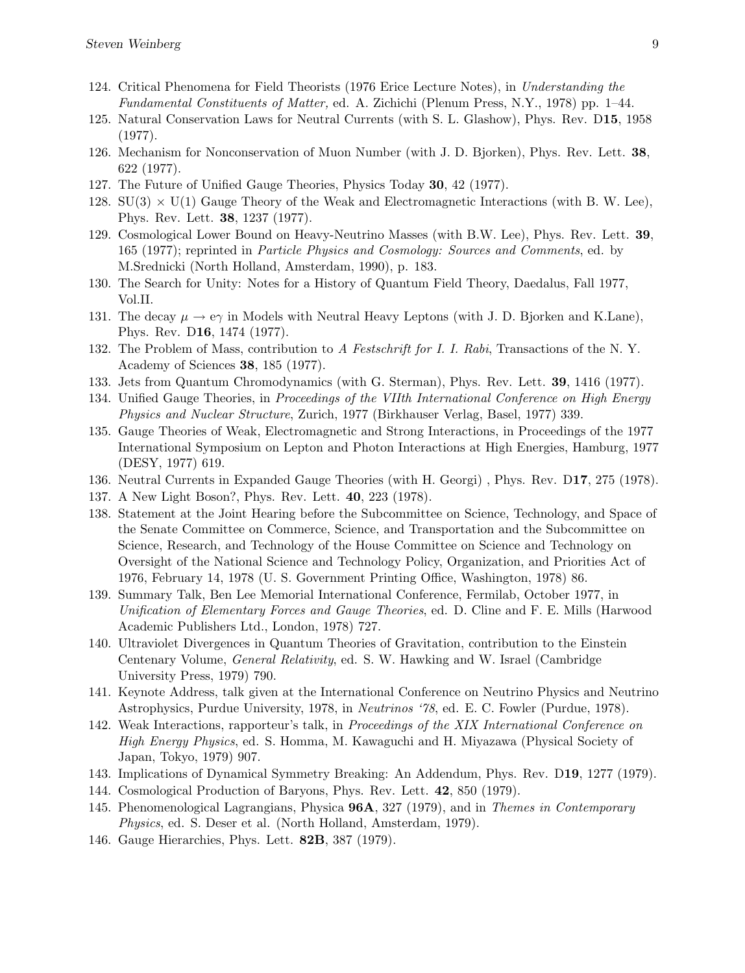- 124. Critical Phenomena for Field Theorists (1976 Erice Lecture Notes), in Understanding the Fundamental Constituents of Matter, ed. A. Zichichi (Plenum Press, N.Y., 1978) pp. 1–44.
- 125. Natural Conservation Laws for Neutral Currents (with S. L. Glashow), Phys. Rev. D15, 1958 (1977).
- 126. Mechanism for Nonconservation of Muon Number (with J. D. Bjorken), Phys. Rev. Lett. 38, 622 (1977).
- 127. The Future of Unified Gauge Theories, Physics Today 30, 42 (1977).
- 128.  $SU(3) \times U(1)$  Gauge Theory of the Weak and Electromagnetic Interactions (with B. W. Lee), Phys. Rev. Lett. 38, 1237 (1977).
- 129. Cosmological Lower Bound on Heavy-Neutrino Masses (with B.W. Lee), Phys. Rev. Lett. 39, 165 (1977); reprinted in Particle Physics and Cosmology: Sources and Comments, ed. by M.Srednicki (North Holland, Amsterdam, 1990), p. 183.
- 130. The Search for Unity: Notes for a History of Quantum Field Theory, Daedalus, Fall 1977, Vol.II.
- 131. The decay  $\mu \to e\gamma$  in Models with Neutral Heavy Leptons (with J. D. Bjorken and K.Lane), Phys. Rev. D16, 1474 (1977).
- 132. The Problem of Mass, contribution to A Festschrift for I. I. Rabi, Transactions of the N. Y. Academy of Sciences 38, 185 (1977).
- 133. Jets from Quantum Chromodynamics (with G. Sterman), Phys. Rev. Lett. 39, 1416 (1977).
- 134. Unified Gauge Theories, in Proceedings of the VIIth International Conference on High Energy Physics and Nuclear Structure, Zurich, 1977 (Birkhauser Verlag, Basel, 1977) 339.
- 135. Gauge Theories of Weak, Electromagnetic and Strong Interactions, in Proceedings of the 1977 International Symposium on Lepton and Photon Interactions at High Energies, Hamburg, 1977 (DESY, 1977) 619.
- 136. Neutral Currents in Expanded Gauge Theories (with H. Georgi) , Phys. Rev. D17, 275 (1978).
- 137. A New Light Boson?, Phys. Rev. Lett. 40, 223 (1978).
- 138. Statement at the Joint Hearing before the Subcommittee on Science, Technology, and Space of the Senate Committee on Commerce, Science, and Transportation and the Subcommittee on Science, Research, and Technology of the House Committee on Science and Technology on Oversight of the National Science and Technology Policy, Organization, and Priorities Act of 1976, February 14, 1978 (U. S. Government Printing Office, Washington, 1978) 86.
- 139. Summary Talk, Ben Lee Memorial International Conference, Fermilab, October 1977, in Unification of Elementary Forces and Gauge Theories, ed. D. Cline and F. E. Mills (Harwood Academic Publishers Ltd., London, 1978) 727.
- 140. Ultraviolet Divergences in Quantum Theories of Gravitation, contribution to the Einstein Centenary Volume, General Relativity, ed. S. W. Hawking and W. Israel (Cambridge University Press, 1979) 790.
- 141. Keynote Address, talk given at the International Conference on Neutrino Physics and Neutrino Astrophysics, Purdue University, 1978, in Neutrinos '78, ed. E. C. Fowler (Purdue, 1978).
- 142. Weak Interactions, rapporteur's talk, in Proceedings of the XIX International Conference on High Energy Physics, ed. S. Homma, M. Kawaguchi and H. Miyazawa (Physical Society of Japan, Tokyo, 1979) 907.
- 143. Implications of Dynamical Symmetry Breaking: An Addendum, Phys. Rev. D19, 1277 (1979).
- 144. Cosmological Production of Baryons, Phys. Rev. Lett. 42, 850 (1979).
- 145. Phenomenological Lagrangians, Physica 96A, 327 (1979), and in Themes in Contemporary Physics, ed. S. Deser et al. (North Holland, Amsterdam, 1979).
- 146. Gauge Hierarchies, Phys. Lett. 82B, 387 (1979).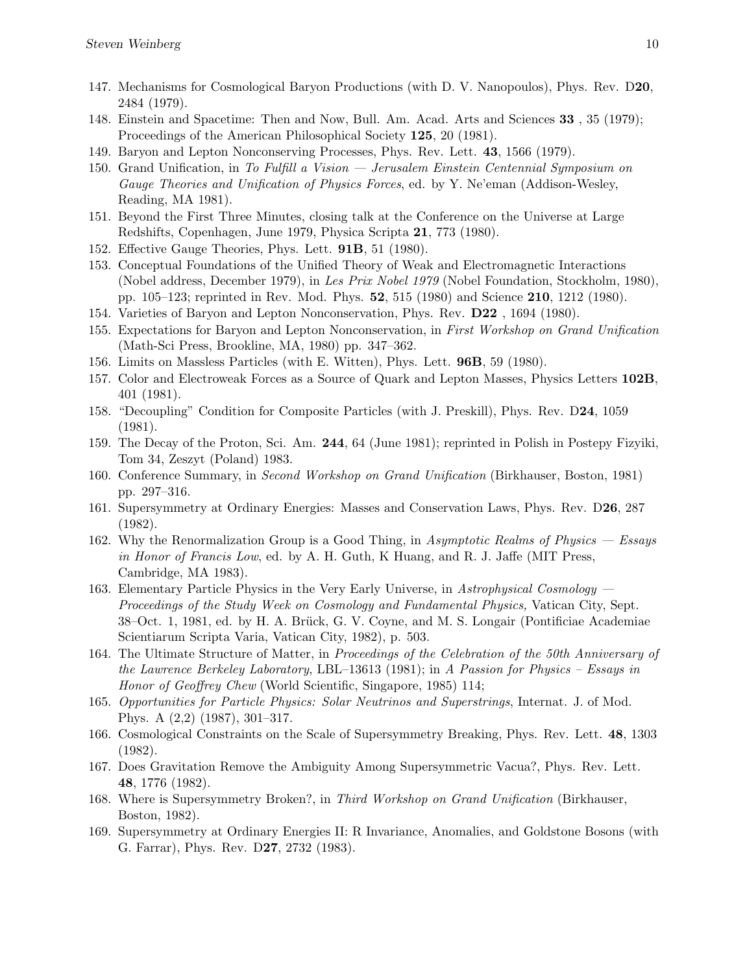- 147. Mechanisms for Cosmological Baryon Productions (with D. V. Nanopoulos), Phys. Rev. D20, 2484 (1979).
- 148. Einstein and Spacetime: Then and Now, Bull. Am. Acad. Arts and Sciences 33 , 35 (1979); Proceedings of the American Philosophical Society 125, 20 (1981).
- 149. Baryon and Lepton Nonconserving Processes, Phys. Rev. Lett. 43, 1566 (1979).
- 150. Grand Unification, in To Fulfill a Vision Jerusalem Einstein Centennial Symposium on Gauge Theories and Unification of Physics Forces, ed. by Y. Ne'eman (Addison-Wesley, Reading, MA 1981).
- 151. Beyond the First Three Minutes, closing talk at the Conference on the Universe at Large Redshifts, Copenhagen, June 1979, Physica Scripta 21, 773 (1980).
- 152. Effective Gauge Theories, Phys. Lett. 91B, 51 (1980).
- 153. Conceptual Foundations of the Unified Theory of Weak and Electromagnetic Interactions (Nobel address, December 1979), in Les Prix Nobel 1979 (Nobel Foundation, Stockholm, 1980), pp. 105–123; reprinted in Rev. Mod. Phys. 52, 515 (1980) and Science 210, 1212 (1980).
- 154. Varieties of Baryon and Lepton Nonconservation, Phys. Rev. D22 , 1694 (1980).
- 155. Expectations for Baryon and Lepton Nonconservation, in First Workshop on Grand Unification (Math-Sci Press, Brookline, MA, 1980) pp. 347–362.
- 156. Limits on Massless Particles (with E. Witten), Phys. Lett. 96B, 59 (1980).
- 157. Color and Electroweak Forces as a Source of Quark and Lepton Masses, Physics Letters 102B, 401 (1981).
- 158. "Decoupling" Condition for Composite Particles (with J. Preskill), Phys. Rev. D24, 1059 (1981).
- 159. The Decay of the Proton, Sci. Am. 244, 64 (June 1981); reprinted in Polish in Postepy Fizyiki, Tom 34, Zeszyt (Poland) 1983.
- 160. Conference Summary, in Second Workshop on Grand Unification (Birkhauser, Boston, 1981) pp. 297–316.
- 161. Supersymmetry at Ordinary Energies: Masses and Conservation Laws, Phys. Rev. D26, 287 (1982).
- 162. Why the Renormalization Group is a Good Thing, in Asymptotic Realms of Physics Essays in Honor of Francis Low, ed. by A. H. Guth, K Huang, and R. J. Jaffe (MIT Press, Cambridge, MA 1983).
- 163. Elementary Particle Physics in the Very Early Universe, in Astrophysical Cosmology Proceedings of the Study Week on Cosmology and Fundamental Physics, Vatican City, Sept. 38–Oct. 1, 1981, ed. by H. A. Brück, G. V. Coyne, and M. S. Longair (Pontificiae Academiae Scientiarum Scripta Varia, Vatican City, 1982), p. 503.
- 164. The Ultimate Structure of Matter, in Proceedings of the Celebration of the 50th Anniversary of the Lawrence Berkeley Laboratory, LBL–13613 (1981); in A Passion for Physics – Essays in Honor of Geoffrey Chew (World Scientific, Singapore, 1985) 114;
- 165. Opportunities for Particle Physics: Solar Neutrinos and Superstrings, Internat. J. of Mod. Phys. A (2,2) (1987), 301–317.
- 166. Cosmological Constraints on the Scale of Supersymmetry Breaking, Phys. Rev. Lett. 48, 1303 (1982).
- 167. Does Gravitation Remove the Ambiguity Among Supersymmetric Vacua?, Phys. Rev. Lett. 48, 1776 (1982).
- 168. Where is Supersymmetry Broken?, in Third Workshop on Grand Unification (Birkhauser, Boston, 1982).
- 169. Supersymmetry at Ordinary Energies II: R Invariance, Anomalies, and Goldstone Bosons (with G. Farrar), Phys. Rev. D27, 2732 (1983).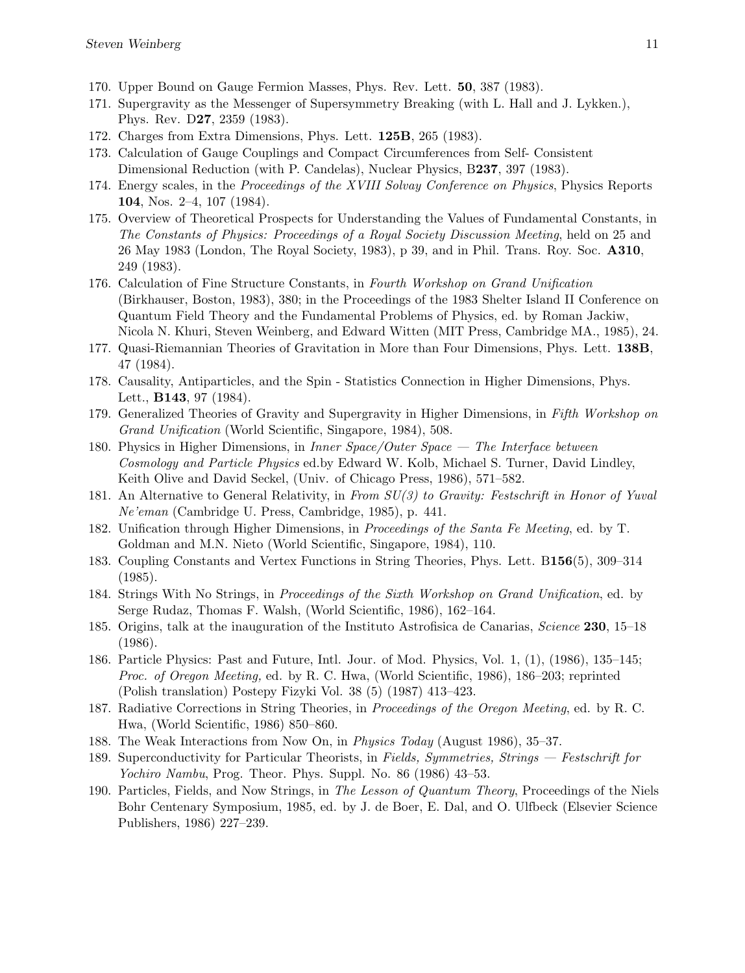- 170. Upper Bound on Gauge Fermion Masses, Phys. Rev. Lett. 50, 387 (1983).
- 171. Supergravity as the Messenger of Supersymmetry Breaking (with L. Hall and J. Lykken.), Phys. Rev. D27, 2359 (1983).
- 172. Charges from Extra Dimensions, Phys. Lett. 125B, 265 (1983).
- 173. Calculation of Gauge Couplings and Compact Circumferences from Self- Consistent Dimensional Reduction (with P. Candelas), Nuclear Physics, B237, 397 (1983).
- 174. Energy scales, in the Proceedings of the XVIII Solvay Conference on Physics, Physics Reports 104, Nos. 2–4, 107 (1984).
- 175. Overview of Theoretical Prospects for Understanding the Values of Fundamental Constants, in The Constants of Physics: Proceedings of a Royal Society Discussion Meeting, held on 25 and 26 May 1983 (London, The Royal Society, 1983), p 39, and in Phil. Trans. Roy. Soc. A310, 249 (1983).
- 176. Calculation of Fine Structure Constants, in Fourth Workshop on Grand Unification (Birkhauser, Boston, 1983), 380; in the Proceedings of the 1983 Shelter Island II Conference on Quantum Field Theory and the Fundamental Problems of Physics, ed. by Roman Jackiw, Nicola N. Khuri, Steven Weinberg, and Edward Witten (MIT Press, Cambridge MA., 1985), 24.
- 177. Quasi-Riemannian Theories of Gravitation in More than Four Dimensions, Phys. Lett. 138B, 47 (1984).
- 178. Causality, Antiparticles, and the Spin Statistics Connection in Higher Dimensions, Phys. Lett., B143, 97 (1984).
- 179. Generalized Theories of Gravity and Supergravity in Higher Dimensions, in Fifth Workshop on Grand Unification (World Scientific, Singapore, 1984), 508.
- 180. Physics in Higher Dimensions, in Inner Space/Outer Space The Interface between Cosmology and Particle Physics ed.by Edward W. Kolb, Michael S. Turner, David Lindley, Keith Olive and David Seckel, (Univ. of Chicago Press, 1986), 571–582.
- 181. An Alternative to General Relativity, in From SU(3) to Gravity: Festschrift in Honor of Yuval Ne'eman (Cambridge U. Press, Cambridge, 1985), p. 441.
- 182. Unification through Higher Dimensions, in Proceedings of the Santa Fe Meeting, ed. by T. Goldman and M.N. Nieto (World Scientific, Singapore, 1984), 110.
- 183. Coupling Constants and Vertex Functions in String Theories, Phys. Lett. B156(5), 309–314 (1985).
- 184. Strings With No Strings, in Proceedings of the Sixth Workshop on Grand Unification, ed. by Serge Rudaz, Thomas F. Walsh, (World Scientific, 1986), 162–164.
- 185. Origins, talk at the inauguration of the Instituto Astrofisica de Canarias, Science 230, 15–18 (1986).
- 186. Particle Physics: Past and Future, Intl. Jour. of Mod. Physics, Vol. 1, (1), (1986), 135–145; Proc. of Oregon Meeting, ed. by R. C. Hwa, (World Scientific, 1986), 186–203; reprinted (Polish translation) Postepy Fizyki Vol. 38 (5) (1987) 413–423.
- 187. Radiative Corrections in String Theories, in Proceedings of the Oregon Meeting, ed. by R. C. Hwa, (World Scientific, 1986) 850–860.
- 188. The Weak Interactions from Now On, in Physics Today (August 1986), 35–37.
- 189. Superconductivity for Particular Theorists, in Fields, Symmetries, Strings Festschrift for Yochiro Nambu, Prog. Theor. Phys. Suppl. No. 86 (1986) 43–53.
- 190. Particles, Fields, and Now Strings, in The Lesson of Quantum Theory, Proceedings of the Niels Bohr Centenary Symposium, 1985, ed. by J. de Boer, E. Dal, and O. Ulfbeck (Elsevier Science Publishers, 1986) 227–239.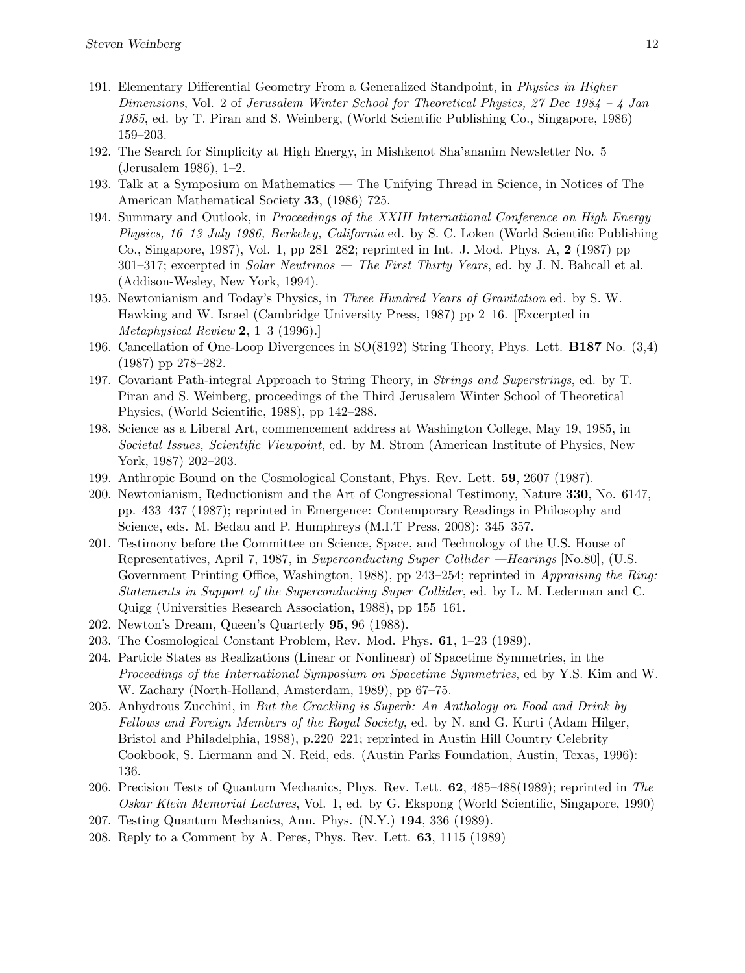- 191. Elementary Differential Geometry From a Generalized Standpoint, in Physics in Higher Dimensions, Vol. 2 of Jerusalem Winter School for Theoretical Physics, 27 Dec 1984 – 4 Jan 1985, ed. by T. Piran and S. Weinberg, (World Scientific Publishing Co., Singapore, 1986) 159–203.
- 192. The Search for Simplicity at High Energy, in Mishkenot Sha'ananim Newsletter No. 5 (Jerusalem 1986), 1–2.
- 193. Talk at a Symposium on Mathematics The Unifying Thread in Science, in Notices of The American Mathematical Society 33, (1986) 725.
- 194. Summary and Outlook, in Proceedings of the XXIII International Conference on High Energy Physics, 16–13 July 1986, Berkeley, California ed. by S. C. Loken (World Scientific Publishing Co., Singapore, 1987), Vol. 1, pp 281–282; reprinted in Int. J. Mod. Phys. A, 2 (1987) pp  $301-317$ ; excerpted in *Solar Neutrinos — The First Thirty Years*, ed. by J. N. Bahcall et al. (Addison-Wesley, New York, 1994).
- 195. Newtonianism and Today's Physics, in Three Hundred Years of Gravitation ed. by S. W. Hawking and W. Israel (Cambridge University Press, 1987) pp 2–16. [Excerpted in Metaphysical Review 2, 1–3 (1996).]
- 196. Cancellation of One-Loop Divergences in SO(8192) String Theory, Phys. Lett. B187 No. (3,4) (1987) pp 278–282.
- 197. Covariant Path-integral Approach to String Theory, in Strings and Superstrings, ed. by T. Piran and S. Weinberg, proceedings of the Third Jerusalem Winter School of Theoretical Physics, (World Scientific, 1988), pp 142–288.
- 198. Science as a Liberal Art, commencement address at Washington College, May 19, 1985, in Societal Issues, Scientific Viewpoint, ed. by M. Strom (American Institute of Physics, New York, 1987) 202–203.
- 199. Anthropic Bound on the Cosmological Constant, Phys. Rev. Lett. 59, 2607 (1987).
- 200. Newtonianism, Reductionism and the Art of Congressional Testimony, Nature 330, No. 6147, pp. 433–437 (1987); reprinted in Emergence: Contemporary Readings in Philosophy and Science, eds. M. Bedau and P. Humphreys (M.I.T Press, 2008): 345–357.
- 201. Testimony before the Committee on Science, Space, and Technology of the U.S. House of Representatives, April 7, 1987, in Superconducting Super Collider —Hearings [No.80], (U.S. Government Printing Office, Washington, 1988), pp 243–254; reprinted in Appraising the Ring: Statements in Support of the Superconducting Super Collider, ed. by L. M. Lederman and C. Quigg (Universities Research Association, 1988), pp 155–161.
- 202. Newton's Dream, Queen's Quarterly 95, 96 (1988).
- 203. The Cosmological Constant Problem, Rev. Mod. Phys. 61, 1–23 (1989).
- 204. Particle States as Realizations (Linear or Nonlinear) of Spacetime Symmetries, in the Proceedings of the International Symposium on Spacetime Symmetries, ed by Y.S. Kim and W. W. Zachary (North-Holland, Amsterdam, 1989), pp 67–75.
- 205. Anhydrous Zucchini, in But the Crackling is Superb: An Anthology on Food and Drink by Fellows and Foreign Members of the Royal Society, ed. by N. and G. Kurti (Adam Hilger, Bristol and Philadelphia, 1988), p.220–221; reprinted in Austin Hill Country Celebrity Cookbook, S. Liermann and N. Reid, eds. (Austin Parks Foundation, Austin, Texas, 1996): 136.
- 206. Precision Tests of Quantum Mechanics, Phys. Rev. Lett. 62, 485–488(1989); reprinted in The Oskar Klein Memorial Lectures, Vol. 1, ed. by G. Ekspong (World Scientific, Singapore, 1990)
- 207. Testing Quantum Mechanics, Ann. Phys. (N.Y.) 194, 336 (1989).
- 208. Reply to a Comment by A. Peres, Phys. Rev. Lett. 63, 1115 (1989)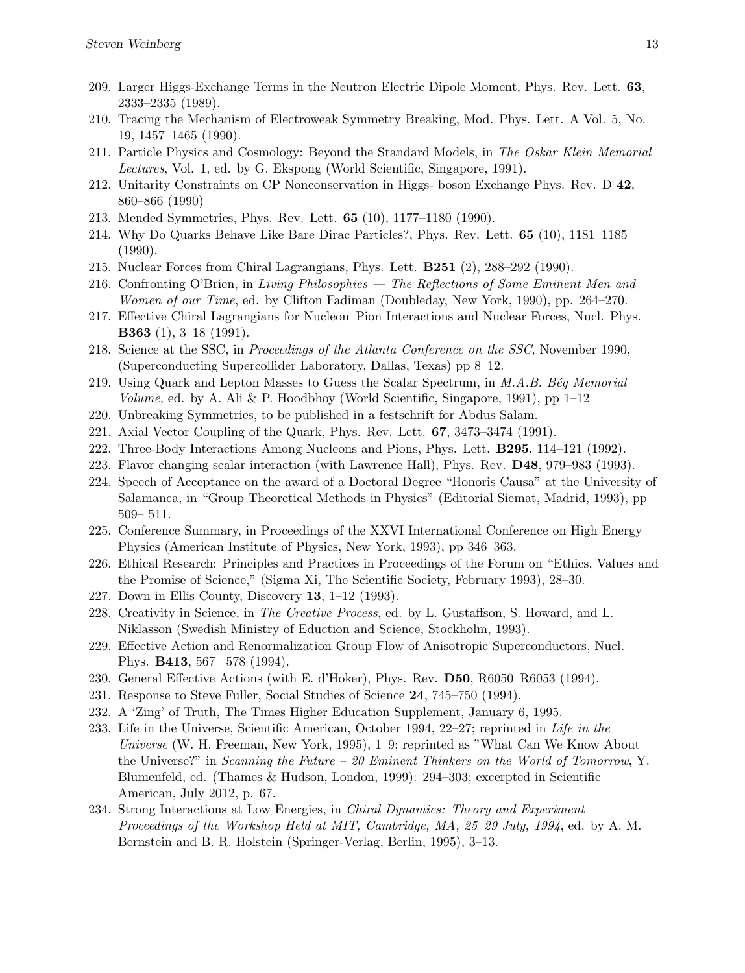- 209. Larger Higgs-Exchange Terms in the Neutron Electric Dipole Moment, Phys. Rev. Lett. 63, 2333–2335 (1989).
- 210. Tracing the Mechanism of Electroweak Symmetry Breaking, Mod. Phys. Lett. A Vol. 5, No. 19, 1457–1465 (1990).
- 211. Particle Physics and Cosmology: Beyond the Standard Models, in The Oskar Klein Memorial Lectures, Vol. 1, ed. by G. Ekspong (World Scientific, Singapore, 1991).
- 212. Unitarity Constraints on CP Nonconservation in Higgs- boson Exchange Phys. Rev. D 42, 860–866 (1990)
- 213. Mended Symmetries, Phys. Rev. Lett. 65 (10), 1177–1180 (1990).
- 214. Why Do Quarks Behave Like Bare Dirac Particles?, Phys. Rev. Lett. 65 (10), 1181–1185 (1990).
- 215. Nuclear Forces from Chiral Lagrangians, Phys. Lett. B251 (2), 288–292 (1990).
- 216. Confronting O'Brien, in Living Philosophies The Reflections of Some Eminent Men and Women of our Time, ed. by Clifton Fadiman (Doubleday, New York, 1990), pp. 264–270.
- 217. Effective Chiral Lagrangians for Nucleon–Pion Interactions and Nuclear Forces, Nucl. Phys. B363 (1), 3–18 (1991).
- 218. Science at the SSC, in *Proceedings of the Atlanta Conference on the SSC*, November 1990, (Superconducting Supercollider Laboratory, Dallas, Texas) pp 8–12.
- 219. Using Quark and Lepton Masses to Guess the Scalar Spectrum, in  $M.A.B. B'eg Memorial$ Volume, ed. by A. Ali & P. Hoodbhoy (World Scientific, Singapore, 1991), pp  $1-12$
- 220. Unbreaking Symmetries, to be published in a festschrift for Abdus Salam.
- 221. Axial Vector Coupling of the Quark, Phys. Rev. Lett. 67, 3473–3474 (1991).
- 222. Three-Body Interactions Among Nucleons and Pions, Phys. Lett. B295, 114–121 (1992).
- 223. Flavor changing scalar interaction (with Lawrence Hall), Phys. Rev. D48, 979–983 (1993).
- 224. Speech of Acceptance on the award of a Doctoral Degree "Honoris Causa" at the University of Salamanca, in "Group Theoretical Methods in Physics" (Editorial Siemat, Madrid, 1993), pp 509– 511.
- 225. Conference Summary, in Proceedings of the XXVI International Conference on High Energy Physics (American Institute of Physics, New York, 1993), pp 346–363.
- 226. Ethical Research: Principles and Practices in Proceedings of the Forum on "Ethics, Values and the Promise of Science," (Sigma Xi, The Scientific Society, February 1993), 28–30.
- 227. Down in Ellis County, Discovery 13, 1–12 (1993).
- 228. Creativity in Science, in The Creative Process, ed. by L. Gustaffson, S. Howard, and L. Niklasson (Swedish Ministry of Eduction and Science, Stockholm, 1993).
- 229. Effective Action and Renormalization Group Flow of Anisotropic Superconductors, Nucl. Phys. B413, 567– 578 (1994).
- 230. General Effective Actions (with E. d'Hoker), Phys. Rev. D50, R6050–R6053 (1994).
- 231. Response to Steve Fuller, Social Studies of Science 24, 745–750 (1994).
- 232. A 'Zing' of Truth, The Times Higher Education Supplement, January 6, 1995.
- 233. Life in the Universe, Scientific American, October 1994, 22–27; reprinted in Life in the Universe (W. H. Freeman, New York, 1995), 1–9; reprinted as "What Can We Know About the Universe?" in Scanning the Future  $-20$  Eminent Thinkers on the World of Tomorrow, Y. Blumenfeld, ed. (Thames & Hudson, London, 1999): 294–303; excerpted in Scientific American, July 2012, p. 67.
- 234. Strong Interactions at Low Energies, in *Chiral Dynamics: Theory and Experiment* Proceedings of the Workshop Held at MIT, Cambridge, MA, 25–29 July, 1994, ed. by A.M. Bernstein and B. R. Holstein (Springer-Verlag, Berlin, 1995), 3–13.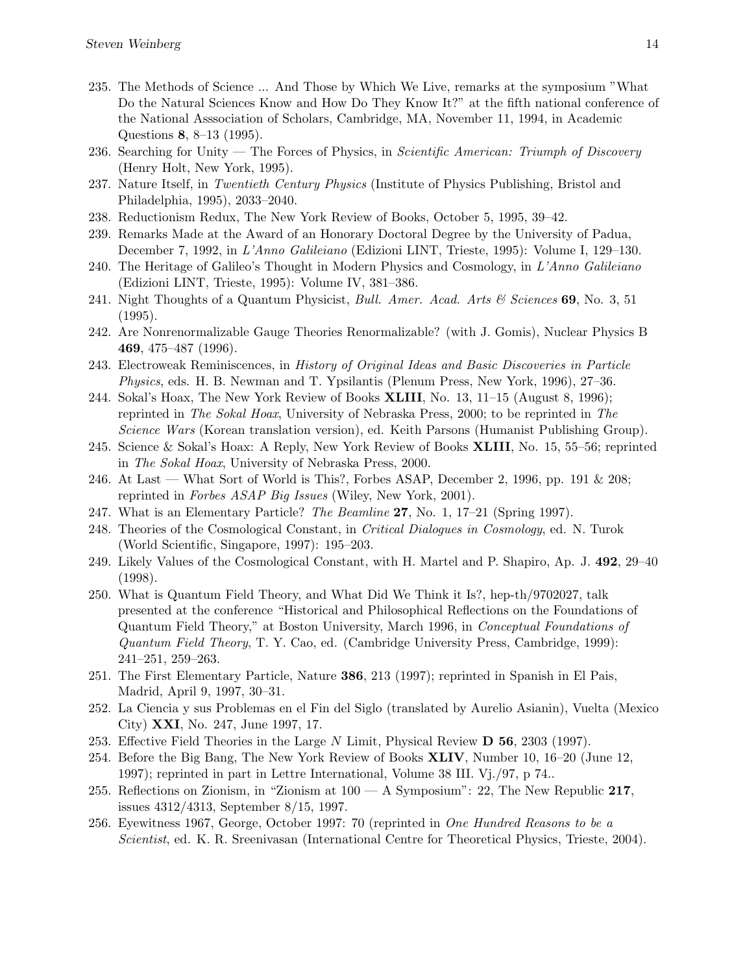- 235. The Methods of Science ... And Those by Which We Live, remarks at the symposium "What Do the Natural Sciences Know and How Do They Know It?" at the fifth national conference of the National Asssociation of Scholars, Cambridge, MA, November 11, 1994, in Academic Questions 8, 8–13 (1995).
- 236. Searching for Unity The Forces of Physics, in Scientific American: Triumph of Discovery (Henry Holt, New York, 1995).
- 237. Nature Itself, in Twentieth Century Physics (Institute of Physics Publishing, Bristol and Philadelphia, 1995), 2033–2040.
- 238. Reductionism Redux, The New York Review of Books, October 5, 1995, 39–42.
- 239. Remarks Made at the Award of an Honorary Doctoral Degree by the University of Padua, December 7, 1992, in L'Anno Galileiano (Edizioni LINT, Trieste, 1995): Volume I, 129–130.
- 240. The Heritage of Galileo's Thought in Modern Physics and Cosmology, in  $L'Anno\ Galileiano$ (Edizioni LINT, Trieste, 1995): Volume IV, 381–386.
- 241. Night Thoughts of a Quantum Physicist, *Bull. Amer. Acad. Arts*  $\mathcal{C}$  *Sciences* 69, No. 3, 51 (1995).
- 242. Are Nonrenormalizable Gauge Theories Renormalizable? (with J. Gomis), Nuclear Physics B 469, 475–487 (1996).
- 243. Electroweak Reminiscences, in History of Original Ideas and Basic Discoveries in Particle Physics, eds. H. B. Newman and T. Ypsilantis (Plenum Press, New York, 1996), 27–36.
- 244. Sokal's Hoax, The New York Review of Books XLIII, No. 13, 11–15 (August 8, 1996); reprinted in The Sokal Hoax, University of Nebraska Press, 2000; to be reprinted in The Science Wars (Korean translation version), ed. Keith Parsons (Humanist Publishing Group).
- 245. Science & Sokal's Hoax: A Reply, New York Review of Books XLIII, No. 15, 55–56; reprinted in The Sokal Hoax, University of Nebraska Press, 2000.
- 246. At Last What Sort of World is This?, Forbes ASAP, December 2, 1996, pp. 191 & 208; reprinted in Forbes ASAP Big Issues (Wiley, New York, 2001).
- 247. What is an Elementary Particle? The Beamline 27, No. 1, 17–21 (Spring 1997).
- 248. Theories of the Cosmological Constant, in Critical Dialogues in Cosmology, ed. N. Turok (World Scientific, Singapore, 1997): 195–203.
- 249. Likely Values of the Cosmological Constant, with H. Martel and P. Shapiro, Ap. J. 492, 29–40 (1998).
- 250. What is Quantum Field Theory, and What Did We Think it Is?, hep-th/9702027, talk presented at the conference "Historical and Philosophical Reflections on the Foundations of Quantum Field Theory," at Boston University, March 1996, in Conceptual Foundations of Quantum Field Theory, T. Y. Cao, ed. (Cambridge University Press, Cambridge, 1999): 241–251, 259–263.
- 251. The First Elementary Particle, Nature 386, 213 (1997); reprinted in Spanish in El Pais, Madrid, April 9, 1997, 30–31.
- 252. La Ciencia y sus Problemas en el Fin del Siglo (translated by Aurelio Asianin), Vuelta (Mexico City) XXI, No. 247, June 1997, 17.
- 253. Effective Field Theories in the Large N Limit, Physical Review D 56, 2303 (1997).
- 254. Before the Big Bang, The New York Review of Books XLIV, Number 10, 16–20 (June 12, 1997); reprinted in part in Lettre International, Volume 38 III. Vj./97, p 74..
- 255. Reflections on Zionism, in "Zionism at  $100 A$  Symposium": 22, The New Republic 217, issues 4312/4313, September 8/15, 1997.
- 256. Eyewitness 1967, George, October 1997: 70 (reprinted in One Hundred Reasons to be a Scientist, ed. K. R. Sreenivasan (International Centre for Theoretical Physics, Trieste, 2004).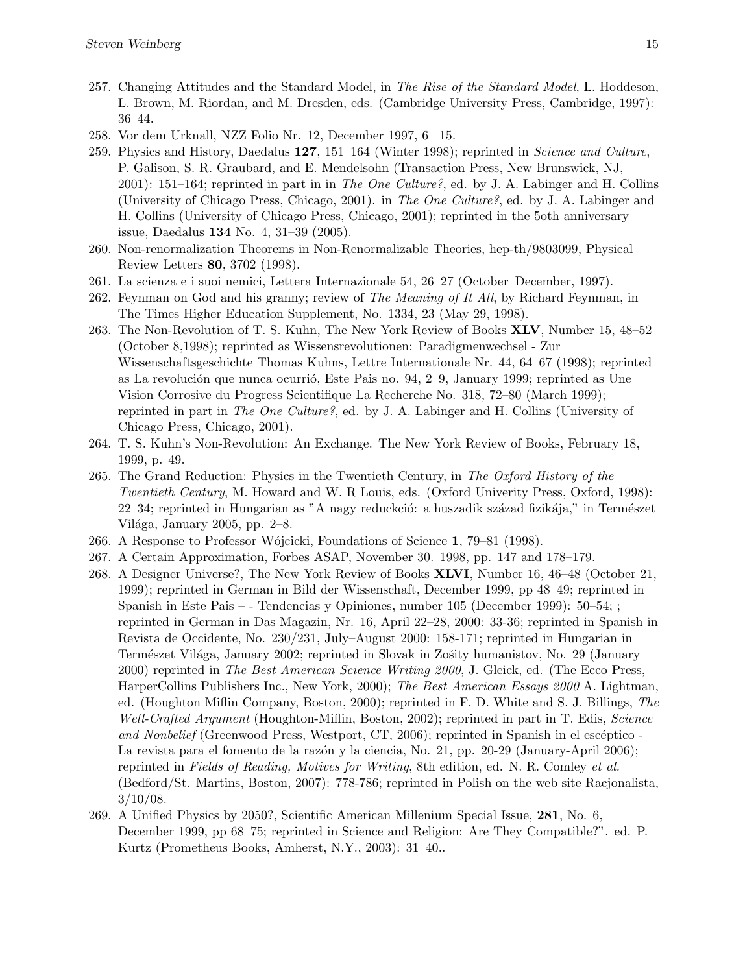- 257. Changing Attitudes and the Standard Model, in The Rise of the Standard Model, L. Hoddeson, L. Brown, M. Riordan, and M. Dresden, eds. (Cambridge University Press, Cambridge, 1997): 36–44.
- 258. Vor dem Urknall, NZZ Folio Nr. 12, December 1997, 6– 15.
- 259. Physics and History, Daedalus 127, 151–164 (Winter 1998); reprinted in Science and Culture, P. Galison, S. R. Graubard, and E. Mendelsohn (Transaction Press, New Brunswick, NJ, 2001): 151–164; reprinted in part in in The One Culture?, ed. by J. A. Labinger and H. Collins (University of Chicago Press, Chicago, 2001). in The One Culture?, ed. by J. A. Labinger and H. Collins (University of Chicago Press, Chicago, 2001); reprinted in the 5oth anniversary issue, Daedalus 134 No. 4, 31–39 (2005).
- 260. Non-renormalization Theorems in Non-Renormalizable Theories, hep-th/9803099, Physical Review Letters 80, 3702 (1998).
- 261. La scienza e i suoi nemici, Lettera Internazionale 54, 26–27 (October–December, 1997).
- 262. Feynman on God and his granny; review of *The Meaning of It All*, by Richard Feynman, in The Times Higher Education Supplement, No. 1334, 23 (May 29, 1998).
- 263. The Non-Revolution of T. S. Kuhn, The New York Review of Books XLV, Number 15, 48–52 (October 8,1998); reprinted as Wissensrevolutionen: Paradigmenwechsel - Zur Wissenschaftsgeschichte Thomas Kuhns, Lettre Internationale Nr. 44, 64–67 (1998); reprinted as La revolución que nunca ocurrió, Este Pais no.  $94, 2-9$ , January 1999; reprinted as Une Vision Corrosive du Progress Scientifique La Recherche No. 318, 72–80 (March 1999); reprinted in part in The One Culture?, ed. by J. A. Labinger and H. Collins (University of Chicago Press, Chicago, 2001).
- 264. T. S. Kuhn's Non-Revolution: An Exchange. The New York Review of Books, February 18, 1999, p. 49.
- 265. The Grand Reduction: Physics in the Twentieth Century, in The Oxford History of the Twentieth Century, M. Howard and W. R Louis, eds. (Oxford Univerity Press, Oxford, 1998): 22–34; reprinted in Hungarian as "A nagy reduckció: a huszadik század fizikája," in Természet Világa, January 2005, pp.  $2-8$ .
- 266. A Response to Professor W´ojcicki, Foundations of Science 1, 79–81 (1998).
- 267. A Certain Approximation, Forbes ASAP, November 30. 1998, pp. 147 and 178–179.
- 268. A Designer Universe?, The New York Review of Books XLVI, Number 16, 46–48 (October 21, 1999); reprinted in German in Bild der Wissenschaft, December 1999, pp 48–49; reprinted in Spanish in Este Pais – - Tendencias y Opiniones, number 105 (December 1999): 50–54; ; reprinted in German in Das Magazin, Nr. 16, April 22–28, 2000: 33-36; reprinted in Spanish in Revista de Occidente, No. 230/231, July–August 2000: 158-171; reprinted in Hungarian in Természet Világa, January 2002; reprinted in Slovak in Zošity humanistov, No. 29 (January 2000) reprinted in The Best American Science Writing 2000, J. Gleick, ed. (The Ecco Press, HarperCollins Publishers Inc., New York, 2000); The Best American Essays 2000 A. Lightman, ed. (Houghton Miflin Company, Boston, 2000); reprinted in F. D. White and S. J. Billings, The Well-Crafted Argument (Houghton-Miflin, Boston, 2002); reprinted in part in T. Edis, Science and Nonbelief (Greenwood Press, Westport, CT, 2006); reprinted in Spanish in el escéptico -La revista para el fomento de la razón y la ciencia, No. 21, pp. 20-29 (January-April 2006); reprinted in Fields of Reading, Motives for Writing, 8th edition, ed. N. R. Comley et al. (Bedford/St. Martins, Boston, 2007): 778-786; reprinted in Polish on the web site Racjonalista,  $3/10/08$ .
- 269. A Unified Physics by 2050?, Scientific American Millenium Special Issue, 281, No. 6, December 1999, pp 68–75; reprinted in Science and Religion: Are They Compatible?". ed. P. Kurtz (Prometheus Books, Amherst, N.Y., 2003): 31–40..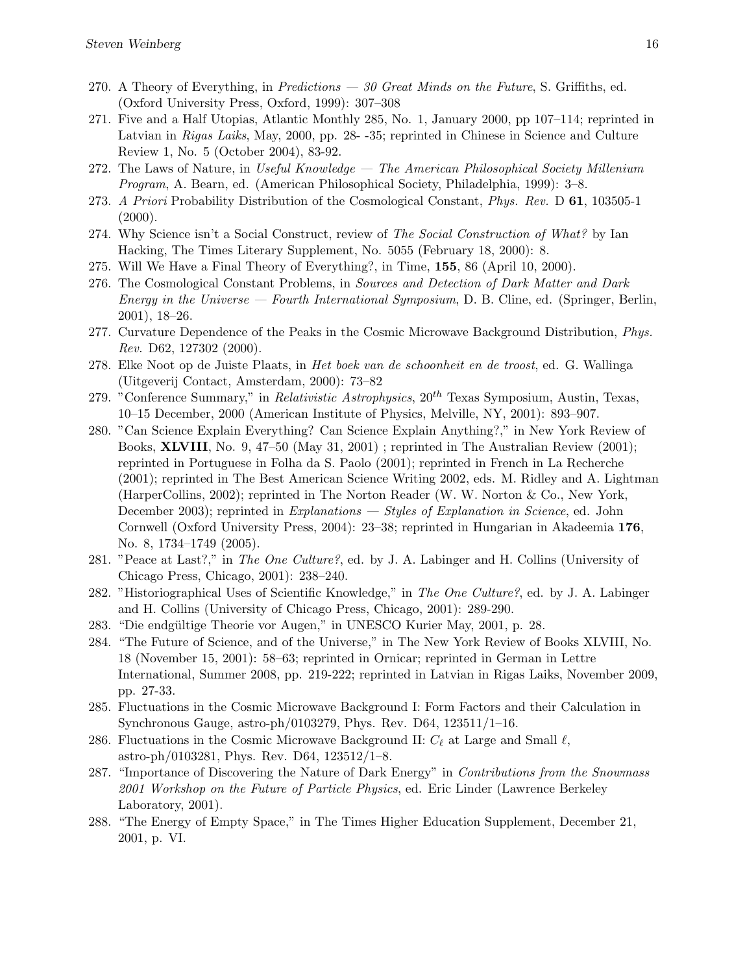- 270. A Theory of Everything, in Predictions  $-30$  Great Minds on the Future, S. Griffiths, ed. (Oxford University Press, Oxford, 1999): 307–308
- 271. Five and a Half Utopias, Atlantic Monthly 285, No. 1, January 2000, pp 107–114; reprinted in Latvian in Rigas Laiks, May, 2000, pp. 28- -35; reprinted in Chinese in Science and Culture Review 1, No. 5 (October 2004), 83-92.
- 272. The Laws of Nature, in Useful Knowledge The American Philosophical Society Millenium Program, A. Bearn, ed. (American Philosophical Society, Philadelphia, 1999): 3–8.
- 273. A Priori Probability Distribution of the Cosmological Constant, Phys. Rev. D 61, 103505-1  $(2000).$
- 274. Why Science isn't a Social Construct, review of The Social Construction of What? by Ian Hacking, The Times Literary Supplement, No. 5055 (February 18, 2000): 8.
- 275. Will We Have a Final Theory of Everything?, in Time, 155, 86 (April 10, 2000).
- 276. The Cosmological Constant Problems, in Sources and Detection of Dark Matter and Dark Energy in the Universe — Fourth International Symposium, D. B. Cline, ed. (Springer, Berlin, 2001), 18–26.
- 277. Curvature Dependence of the Peaks in the Cosmic Microwave Background Distribution, *Phys.* Rev. D62, 127302 (2000).
- 278. Elke Noot op de Juiste Plaats, in Het boek van de schoonheit en de troost, ed. G. Wallinga (Uitgeverij Contact, Amsterdam, 2000): 73–82
- 279. "Conference Summary," in Relativistic Astrophysics,  $20^{th}$  Texas Symposium, Austin, Texas, 10–15 December, 2000 (American Institute of Physics, Melville, NY, 2001): 893–907.
- 280. "Can Science Explain Everything? Can Science Explain Anything?," in New York Review of Books, XLVIII, No. 9, 47–50 (May 31, 2001) ; reprinted in The Australian Review (2001); reprinted in Portuguese in Folha da S. Paolo (2001); reprinted in French in La Recherche (2001); reprinted in The Best American Science Writing 2002, eds. M. Ridley and A. Lightman (HarperCollins, 2002); reprinted in The Norton Reader (W. W. Norton & Co., New York, December 2003); reprinted in Explanations — Styles of Explanation in Science, ed. John Cornwell (Oxford University Press, 2004): 23–38; reprinted in Hungarian in Akadeemia 176, No. 8, 1734–1749 (2005).
- 281. "Peace at Last?," in The One Culture?, ed. by J. A. Labinger and H. Collins (University of Chicago Press, Chicago, 2001): 238–240.
- 282. "Historiographical Uses of Scientific Knowledge," in The One Culture?, ed. by J. A. Labinger and H. Collins (University of Chicago Press, Chicago, 2001): 289-290.
- 283. "Die endgültige Theorie vor Augen," in UNESCO Kurier May, 2001, p. 28.
- 284. "The Future of Science, and of the Universe," in The New York Review of Books XLVIII, No. 18 (November 15, 2001): 58–63; reprinted in Ornicar; reprinted in German in Lettre International, Summer 2008, pp. 219-222; reprinted in Latvian in Rigas Laiks, November 2009, pp. 27-33.
- 285. Fluctuations in the Cosmic Microwave Background I: Form Factors and their Calculation in Synchronous Gauge, astro-ph/0103279, Phys. Rev. D64, 123511/1–16.
- 286. Fluctuations in the Cosmic Microwave Background II:  $C_{\ell}$  at Large and Small  $\ell$ , astro-ph/0103281, Phys. Rev. D64, 123512/1–8.
- 287. "Importance of Discovering the Nature of Dark Energy" in Contributions from the Snowmass 2001 Workshop on the Future of Particle Physics, ed. Eric Linder (Lawrence Berkeley Laboratory, 2001).
- 288. "The Energy of Empty Space," in The Times Higher Education Supplement, December 21, 2001, p. VI.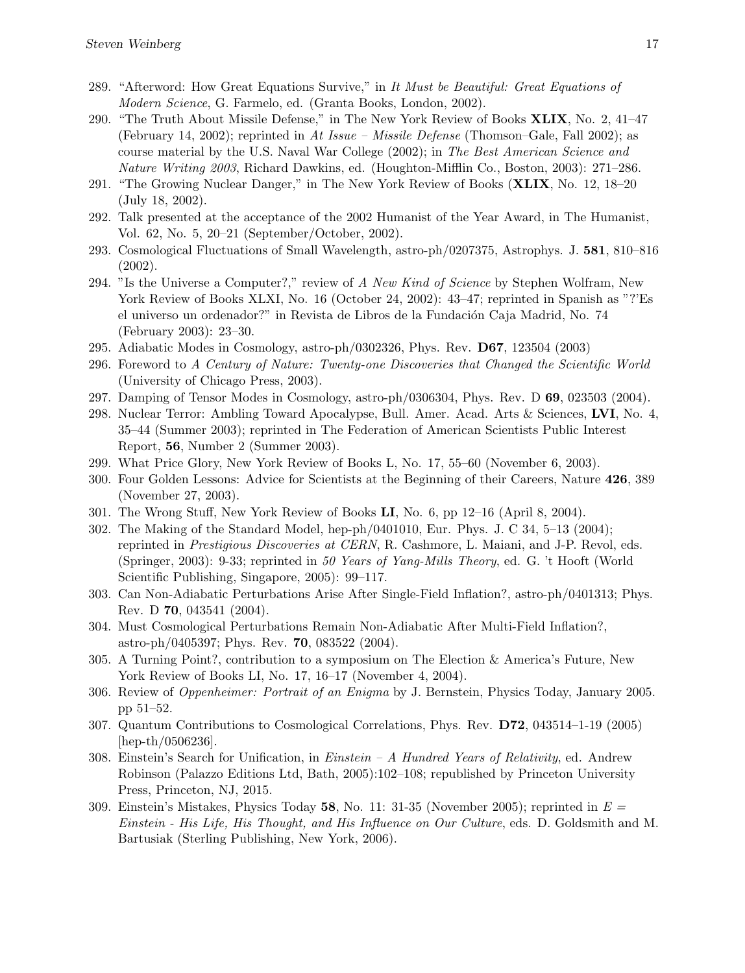- 289. "Afterword: How Great Equations Survive," in It Must be Beautiful: Great Equations of Modern Science, G. Farmelo, ed. (Granta Books, London, 2002).
- 290. "The Truth About Missile Defense," in The New York Review of Books XLIX, No. 2, 41–47 (February 14, 2002); reprinted in At Issue – Missile Defense (Thomson–Gale, Fall 2002); as course material by the U.S. Naval War College (2002); in The Best American Science and Nature Writing 2003, Richard Dawkins, ed. (Houghton-Mifflin Co., Boston, 2003): 271–286.
- 291. "The Growing Nuclear Danger," in The New York Review of Books (XLIX, No. 12, 18–20 (July 18, 2002).
- 292. Talk presented at the acceptance of the 2002 Humanist of the Year Award, in The Humanist, Vol. 62, No. 5, 20–21 (September/October, 2002).
- 293. Cosmological Fluctuations of Small Wavelength, astro-ph/0207375, Astrophys. J. 581, 810–816 (2002).
- 294. "Is the Universe a Computer?," review of A New Kind of Science by Stephen Wolfram, New York Review of Books XLXI, No. 16 (October 24, 2002): 43–47; reprinted in Spanish as "?'Es el universo un ordenador?" in Revista de Libros de la Fundación Caja Madrid, No. 74 (February 2003): 23–30.
- 295. Adiabatic Modes in Cosmology, astro-ph/0302326, Phys. Rev. D67, 123504 (2003)
- 296. Foreword to A Century of Nature: Twenty-one Discoveries that Changed the Scientific World (University of Chicago Press, 2003).
- 297. Damping of Tensor Modes in Cosmology, astro-ph/0306304, Phys. Rev. D 69, 023503 (2004).
- 298. Nuclear Terror: Ambling Toward Apocalypse, Bull. Amer. Acad. Arts & Sciences, LVI, No. 4, 35–44 (Summer 2003); reprinted in The Federation of American Scientists Public Interest Report, 56, Number 2 (Summer 2003).
- 299. What Price Glory, New York Review of Books L, No. 17, 55–60 (November 6, 2003).
- 300. Four Golden Lessons: Advice for Scientists at the Beginning of their Careers, Nature 426, 389 (November 27, 2003).
- 301. The Wrong Stuff, New York Review of Books LI, No. 6, pp 12–16 (April 8, 2004).
- 302. The Making of the Standard Model, hep-ph/0401010, Eur. Phys. J. C 34, 5–13 (2004); reprinted in Prestigious Discoveries at CERN, R. Cashmore, L. Maiani, and J-P. Revol, eds. (Springer, 2003): 9-33; reprinted in 50 Years of Yang-Mills Theory, ed. G. 't Hooft (World Scientific Publishing, Singapore, 2005): 99–117.
- 303. Can Non-Adiabatic Perturbations Arise After Single-Field Inflation?, astro-ph/0401313; Phys. Rev. D 70, 043541 (2004).
- 304. Must Cosmological Perturbations Remain Non-Adiabatic After Multi-Field Inflation?, astro-ph/0405397; Phys. Rev. 70, 083522 (2004).
- 305. A Turning Point?, contribution to a symposium on The Election & America's Future, New York Review of Books LI, No. 17, 16–17 (November 4, 2004).
- 306. Review of Oppenheimer: Portrait of an Enigma by J. Bernstein, Physics Today, January 2005. pp 51–52.
- 307. Quantum Contributions to Cosmological Correlations, Phys. Rev. D72, 043514–1-19 (2005) [hep-th/0506236].
- 308. Einstein's Search for Unification, in *Einstein A Hundred Years of Relativity*, ed. Andrew Robinson (Palazzo Editions Ltd, Bath, 2005):102–108; republished by Princeton University Press, Princeton, NJ, 2015.
- 309. Einstein's Mistakes, Physics Today 58, No. 11: 31-35 (November 2005); reprinted in  $E =$ Einstein - His Life, His Thought, and His Influence on Our Culture, eds. D. Goldsmith and M. Bartusiak (Sterling Publishing, New York, 2006).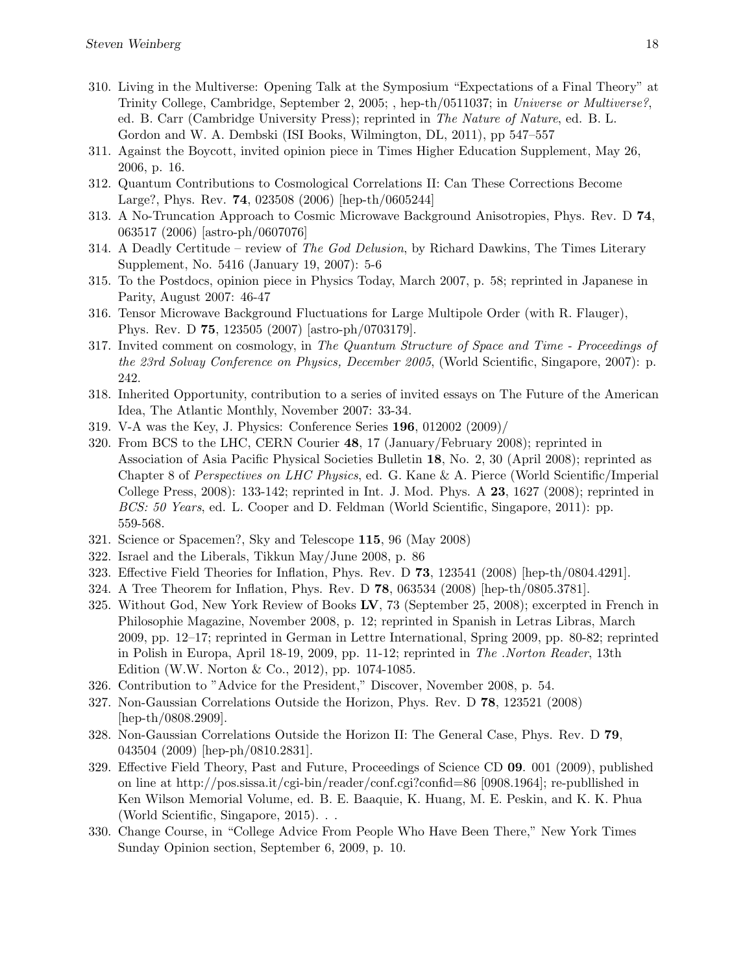- 310. Living in the Multiverse: Opening Talk at the Symposium "Expectations of a Final Theory" at Trinity College, Cambridge, September 2, 2005; , hep-th/0511037; in Universe or Multiverse?, ed. B. Carr (Cambridge University Press); reprinted in The Nature of Nature, ed. B. L. Gordon and W. A. Dembski (ISI Books, Wilmington, DL, 2011), pp 547–557
- 311. Against the Boycott, invited opinion piece in Times Higher Education Supplement, May 26, 2006, p. 16.
- 312. Quantum Contributions to Cosmological Correlations II: Can These Corrections Become Large?, Phys. Rev. 74, 023508 (2006) [hep-th/0605244]
- 313. A No-Truncation Approach to Cosmic Microwave Background Anisotropies, Phys. Rev. D 74, 063517 (2006) [astro-ph/0607076]
- 314. A Deadly Certitude review of The God Delusion, by Richard Dawkins, The Times Literary Supplement, No. 5416 (January 19, 2007): 5-6
- 315. To the Postdocs, opinion piece in Physics Today, March 2007, p. 58; reprinted in Japanese in Parity, August 2007: 46-47
- 316. Tensor Microwave Background Fluctuations for Large Multipole Order (with R. Flauger), Phys. Rev. D 75, 123505 (2007) [astro-ph/0703179].
- 317. Invited comment on cosmology, in The Quantum Structure of Space and Time Proceedings of the 23rd Solvay Conference on Physics, December 2005, (World Scientific, Singapore, 2007): p. 242.
- 318. Inherited Opportunity, contribution to a series of invited essays on The Future of the American Idea, The Atlantic Monthly, November 2007: 33-34.
- 319. V-A was the Key, J. Physics: Conference Series 196, 012002 (2009)/
- 320. From BCS to the LHC, CERN Courier 48, 17 (January/February 2008); reprinted in Association of Asia Pacific Physical Societies Bulletin 18, No. 2, 30 (April 2008); reprinted as Chapter 8 of Perspectives on LHC Physics, ed. G. Kane & A. Pierce (World Scientific/Imperial College Press, 2008): 133-142; reprinted in Int. J. Mod. Phys. A 23, 1627 (2008); reprinted in BCS: 50 Years, ed. L. Cooper and D. Feldman (World Scientific, Singapore, 2011): pp. 559-568.
- 321. Science or Spacemen?, Sky and Telescope 115, 96 (May 2008)
- 322. Israel and the Liberals, Tikkun May/June 2008, p. 86
- 323. Effective Field Theories for Inflation, Phys. Rev. D 73, 123541 (2008) [hep-th/0804.4291].
- 324. A Tree Theorem for Inflation, Phys. Rev. D 78, 063534 (2008) [hep-th/0805.3781].
- 325. Without God, New York Review of Books LV, 73 (September 25, 2008); excerpted in French in Philosophie Magazine, November 2008, p. 12; reprinted in Spanish in Letras Libras, March 2009, pp. 12–17; reprinted in German in Lettre International, Spring 2009, pp. 80-82; reprinted in Polish in Europa, April 18-19, 2009, pp. 11-12; reprinted in The .Norton Reader, 13th Edition (W.W. Norton & Co., 2012), pp. 1074-1085.
- 326. Contribution to "Advice for the President," Discover, November 2008, p. 54.
- 327. Non-Gaussian Correlations Outside the Horizon, Phys. Rev. D 78, 123521 (2008) [hep-th/0808.2909].
- 328. Non-Gaussian Correlations Outside the Horizon II: The General Case, Phys. Rev. D 79, 043504 (2009) [hep-ph/0810.2831].
- 329. Effective Field Theory, Past and Future, Proceedings of Science CD 09. 001 (2009), published on line at http://pos.sissa.it/cgi-bin/reader/conf.cgi?confid=86 [0908.1964]; re-publlished in Ken Wilson Memorial Volume, ed. B. E. Baaquie, K. Huang, M. E. Peskin, and K. K. Phua (World Scientific, Singapore, 2015). . .
- 330. Change Course, in "College Advice From People Who Have Been There," New York Times Sunday Opinion section, September 6, 2009, p. 10.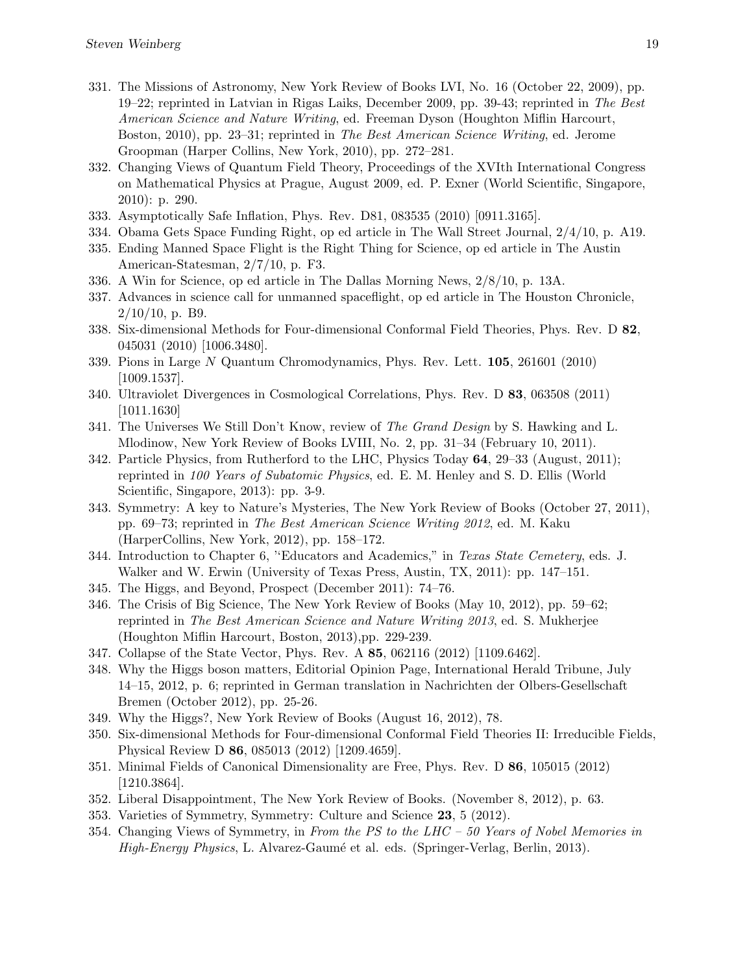- 331. The Missions of Astronomy, New York Review of Books LVI, No. 16 (October 22, 2009), pp. 19–22; reprinted in Latvian in Rigas Laiks, December 2009, pp. 39-43; reprinted in The Best American Science and Nature Writing, ed. Freeman Dyson (Houghton Miflin Harcourt, Boston, 2010), pp. 23–31; reprinted in The Best American Science Writing, ed. Jerome Groopman (Harper Collins, New York, 2010), pp. 272–281.
- 332. Changing Views of Quantum Field Theory, Proceedings of the XVIth International Congress on Mathematical Physics at Prague, August 2009, ed. P. Exner (World Scientific, Singapore, 2010): p. 290.
- 333. Asymptotically Safe Inflation, Phys. Rev. D81, 083535 (2010) [0911.3165].
- 334. Obama Gets Space Funding Right, op ed article in The Wall Street Journal, 2/4/10, p. A19.
- 335. Ending Manned Space Flight is the Right Thing for Science, op ed article in The Austin American-Statesman, 2/7/10, p. F3.
- 336. A Win for Science, op ed article in The Dallas Morning News, 2/8/10, p. 13A.
- 337. Advances in science call for unmanned spaceflight, op ed article in The Houston Chronicle,  $2/10/10$ , p. B9.
- 338. Six-dimensional Methods for Four-dimensional Conformal Field Theories, Phys. Rev. D 82, 045031 (2010) [1006.3480].
- 339. Pions in Large N Quantum Chromodynamics, Phys. Rev. Lett. 105, 261601 (2010) [1009.1537].
- 340. Ultraviolet Divergences in Cosmological Correlations, Phys. Rev. D 83, 063508 (2011) [1011.1630]
- 341. The Universes We Still Don't Know, review of The Grand Design by S. Hawking and L. Mlodinow, New York Review of Books LVIII, No. 2, pp. 31–34 (February 10, 2011).
- 342. Particle Physics, from Rutherford to the LHC, Physics Today 64, 29–33 (August, 2011); reprinted in 100 Years of Subatomic Physics, ed. E. M. Henley and S. D. Ellis (World Scientific, Singapore, 2013): pp. 3-9.
- 343. Symmetry: A key to Nature's Mysteries, The New York Review of Books (October 27, 2011), pp. 69–73; reprinted in The Best American Science Writing 2012, ed. M. Kaku (HarperCollins, New York, 2012), pp. 158–172.
- 344. Introduction to Chapter 6, ''Educators and Academics," in Texas State Cemetery, eds. J. Walker and W. Erwin (University of Texas Press, Austin, TX, 2011): pp. 147–151.
- 345. The Higgs, and Beyond, Prospect (December 2011): 74–76.
- 346. The Crisis of Big Science, The New York Review of Books (May 10, 2012), pp. 59–62; reprinted in The Best American Science and Nature Writing 2013, ed. S. Mukherjee (Houghton Miflin Harcourt, Boston, 2013),pp. 229-239.
- 347. Collapse of the State Vector, Phys. Rev. A 85, 062116 (2012) [1109.6462].
- 348. Why the Higgs boson matters, Editorial Opinion Page, International Herald Tribune, July 14–15, 2012, p. 6; reprinted in German translation in Nachrichten der Olbers-Gesellschaft Bremen (October 2012), pp. 25-26.
- 349. Why the Higgs?, New York Review of Books (August 16, 2012), 78.
- 350. Six-dimensional Methods for Four-dimensional Conformal Field Theories II: Irreducible Fields, Physical Review D 86, 085013 (2012) [1209.4659].
- 351. Minimal Fields of Canonical Dimensionality are Free, Phys. Rev. D 86, 105015 (2012) [1210.3864].
- 352. Liberal Disappointment, The New York Review of Books. (November 8, 2012), p. 63.
- 353. Varieties of Symmetry, Symmetry: Culture and Science 23, 5 (2012).
- 354. Changing Views of Symmetry, in From the PS to the LHC 50 Years of Nobel Memories in High-Energy Physics, L. Alvarez-Gaumé et al. eds. (Springer-Verlag, Berlin, 2013).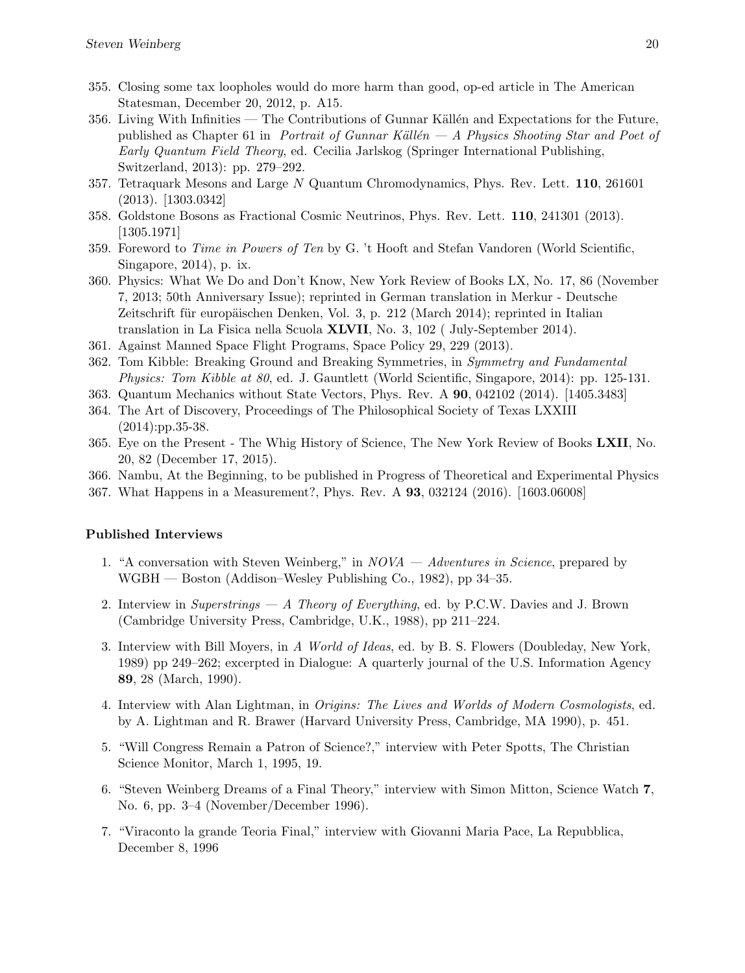- 355. Closing some tax loopholes would do more harm than good, op-ed article in The American Statesman, December 20, 2012, p. A15.
- 356. Living With Infinities The Contributions of Gunnar Källén and Expectations for the Future, published as Chapter 61 in Portrait of Gunnar Källén — A Physics Shooting Star and Poet of Early Quantum Field Theory, ed. Cecilia Jarlskog (Springer International Publishing, Switzerland, 2013): pp. 279–292.
- 357. Tetraquark Mesons and Large N Quantum Chromodynamics, Phys. Rev. Lett. 110, 261601 (2013). [1303.0342]
- 358. Goldstone Bosons as Fractional Cosmic Neutrinos, Phys. Rev. Lett. 110, 241301 (2013). [1305.1971]
- 359. Foreword to Time in Powers of Ten by G. 't Hooft and Stefan Vandoren (World Scientific, Singapore, 2014), p. ix.
- 360. Physics: What We Do and Don't Know, New York Review of Books LX, No. 17, 86 (November 7, 2013; 50th Anniversary Issue); reprinted in German translation in Merkur - Deutsche Zeitschrift für europäischen Denken, Vol. 3, p. 212 (March 2014); reprinted in Italian translation in La Fisica nella Scuola XLVII, No. 3, 102 ( July-September 2014).
- 361. Against Manned Space Flight Programs, Space Policy 29, 229 (2013).
- 362. Tom Kibble: Breaking Ground and Breaking Symmetries, in Symmetry and Fundamental Physics: Tom Kibble at 80, ed. J. Gauntlett (World Scientific, Singapore, 2014): pp. 125-131.
- 363. Quantum Mechanics without State Vectors, Phys. Rev. A 90, 042102 (2014). [1405.3483]
- 364. The Art of Discovery, Proceedings of The Philosophical Society of Texas LXXIII (2014):pp.35-38.
- 365. Eye on the Present The Whig History of Science, The New York Review of Books LXII, No. 20, 82 (December 17, 2015).
- 366. Nambu, At the Beginning, to be published in Progress of Theoretical and Experimental Physics
- 367. What Happens in a Measurement?, Phys. Rev. A 93, 032124 (2016). [1603.06008]

## Published Interviews

- 1. "A conversation with Steven Weinberg," in NOVA Adventures in Science, prepared by WGBH — Boston (Addison–Wesley Publishing Co., 1982), pp 34–35.
- 2. Interview in Superstrings A Theory of Everything, ed. by P.C.W. Davies and J. Brown (Cambridge University Press, Cambridge, U.K., 1988), pp 211–224.
- 3. Interview with Bill Moyers, in A World of Ideas, ed. by B. S. Flowers (Doubleday, New York, 1989) pp 249–262; excerpted in Dialogue: A quarterly journal of the U.S. Information Agency 89, 28 (March, 1990).
- 4. Interview with Alan Lightman, in Origins: The Lives and Worlds of Modern Cosmologists, ed. by A. Lightman and R. Brawer (Harvard University Press, Cambridge, MA 1990), p. 451.
- 5. "Will Congress Remain a Patron of Science?," interview with Peter Spotts, The Christian Science Monitor, March 1, 1995, 19.
- 6. "Steven Weinberg Dreams of a Final Theory," interview with Simon Mitton, Science Watch 7, No. 6, pp. 3–4 (November/December 1996).
- 7. "Viraconto la grande Teoria Final," interview with Giovanni Maria Pace, La Repubblica, December 8, 1996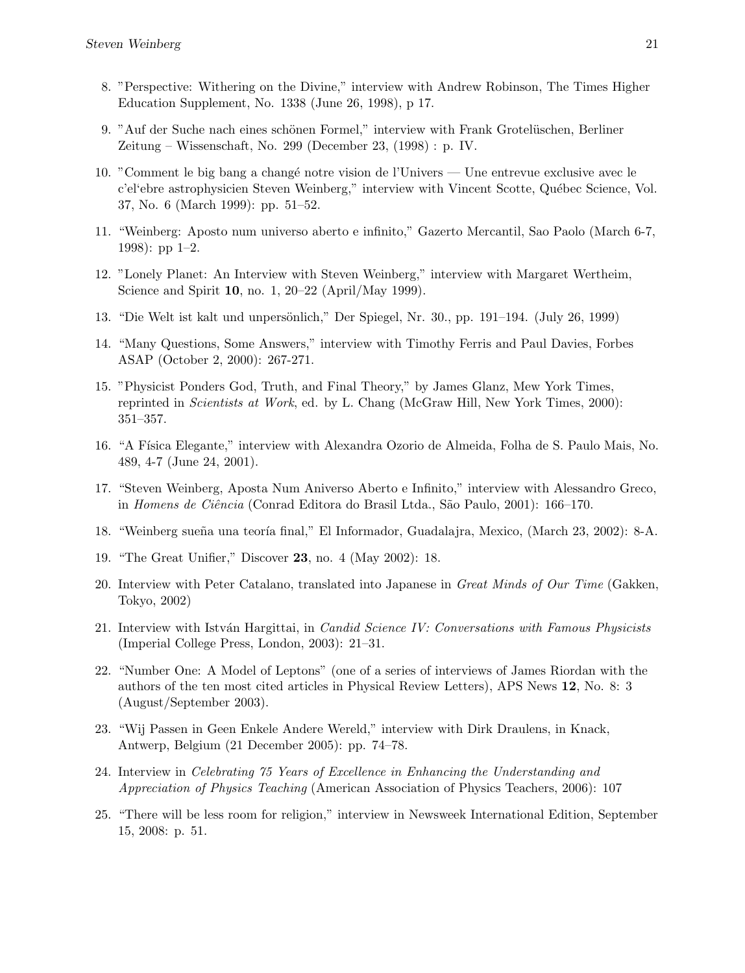- 8. "Perspective: Withering on the Divine," interview with Andrew Robinson, The Times Higher Education Supplement, No. 1338 (June 26, 1998), p 17.
- 9. "Auf der Suche nach eines schönen Formel," interview with Frank Grotelüschen, Berliner Zeitung – Wissenschaft, No. 299 (December 23, (1998) : p. IV.
- 10. "Comment le big bang a chang´e notre vision de l'Univers Une entrevue exclusive avec le c'el'ebre astrophysicien Steven Weinberg," interview with Vincent Scotte, Québec Science, Vol. 37, No. 6 (March 1999): pp. 51–52.
- 11. "Weinberg: Aposto num universo aberto e infinito," Gazerto Mercantil, Sao Paolo (March 6-7, 1998): pp 1–2.
- 12. "Lonely Planet: An Interview with Steven Weinberg," interview with Margaret Wertheim, Science and Spirit 10, no. 1, 20–22 (April/May 1999).
- 13. "Die Welt ist kalt und unpersönlich," Der Spiegel, Nr. 30., pp. 191–194. (July 26, 1999)
- 14. "Many Questions, Some Answers," interview with Timothy Ferris and Paul Davies, Forbes ASAP (October 2, 2000): 267-271.
- 15. "Physicist Ponders God, Truth, and Final Theory," by James Glanz, Mew York Times, reprinted in Scientists at Work, ed. by L. Chang (McGraw Hill, New York Times, 2000): 351–357.
- 16. "A Física Elegante," interview with Alexandra Ozorio de Almeida, Folha de S. Paulo Mais, No. 489, 4-7 (June 24, 2001).
- 17. "Steven Weinberg, Aposta Num Aniverso Aberto e Infinito," interview with Alessandro Greco, in Homens de Ciência (Conrad Editora do Brasil Ltda., São Paulo, 2001): 166–170.
- 18. "Weinberg sueña una teoría final," El Informador, Guadalajra, Mexico, (March 23, 2002): 8-A.
- 19. "The Great Unifier," Discover 23, no. 4 (May 2002): 18.
- 20. Interview with Peter Catalano, translated into Japanese in Great Minds of Our Time (Gakken, Tokyo, 2002)
- 21. Interview with István Hargittai, in *Candid Science IV: Conversations with Famous Physicists* (Imperial College Press, London, 2003): 21–31.
- 22. "Number One: A Model of Leptons" (one of a series of interviews of James Riordan with the authors of the ten most cited articles in Physical Review Letters), APS News 12, No. 8: 3 (August/September 2003).
- 23. "Wij Passen in Geen Enkele Andere Wereld," interview with Dirk Draulens, in Knack, Antwerp, Belgium (21 December 2005): pp. 74–78.
- 24. Interview in Celebrating 75 Years of Excellence in Enhancing the Understanding and Appreciation of Physics Teaching (American Association of Physics Teachers, 2006): 107
- 25. "There will be less room for religion," interview in Newsweek International Edition, September 15, 2008: p. 51.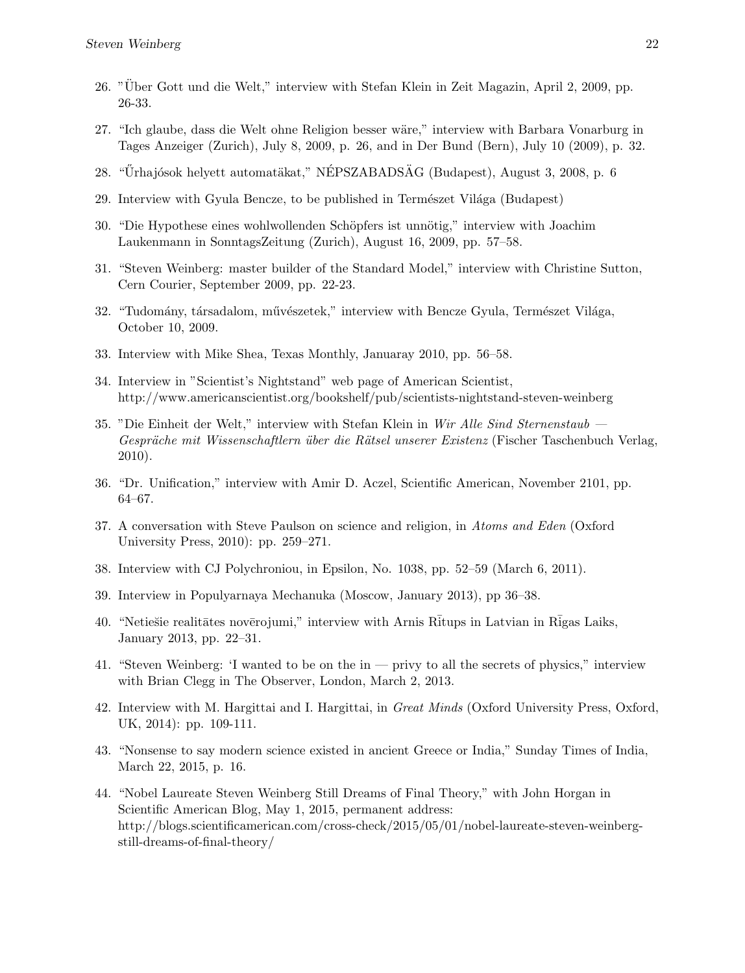- 26. "Uber Gott und die Welt," interview with Stefan Klein in Zeit Magazin, April 2, 2009, pp. ¨ 26-33.
- 27. "Ich glaube, dass die Welt ohne Religion besser wäre," interview with Barbara Vonarburg in Tages Anzeiger (Zurich), July 8, 2009, p. 26, and in Der Bund (Bern), July 10 (2009), p. 32.
- 28. "Űrhajósok helyett automatäkat," NÉPSZABADSÄG (Budapest), August 3, 2008, p. 6
- 29. Interview with Gyula Bencze, to be published in Természet Világa (Budapest)
- 30. "Die Hypothese eines wohlwollenden Schöpfers ist unnötig," interview with Joachim Laukenmann in SonntagsZeitung (Zurich), August 16, 2009, pp. 57–58.
- 31. "Steven Weinberg: master builder of the Standard Model," interview with Christine Sutton, Cern Courier, September 2009, pp. 22-23.
- 32. "Tudomány, társadalom, művészetek," interview with Bencze Gyula, Természet Világa, October 10, 2009.
- 33. Interview with Mike Shea, Texas Monthly, Januaray 2010, pp. 56–58.
- 34. Interview in "Scientist's Nightstand" web page of American Scientist, http://www.americanscientist.org/bookshelf/pub/scientists-nightstand-steven-weinberg
- 35. "Die Einheit der Welt," interview with Stefan Klein in Wir Alle Sind Sternenstaub Gespräche mit Wissenschaftlern über die Rätsel unserer Existenz (Fischer Taschenbuch Verlag, 2010).
- 36. "Dr. Unification," interview with Amir D. Aczel, Scientific American, November 2101, pp. 64–67.
- 37. A conversation with Steve Paulson on science and religion, in Atoms and Eden (Oxford University Press, 2010): pp. 259–271.
- 38. Interview with CJ Polychroniou, in Epsilon, No. 1038, pp. 52–59 (March 6, 2011).
- 39. Interview in Populyarnaya Mechanuka (Moscow, January 2013), pp 36–38.
- 40. "Netiešie realitātes novērojumi," interview with Arnis Rītups in Latvian in Rīgas Laiks, January 2013, pp. 22–31.
- 41. "Steven Weinberg: 'I wanted to be on the in privy to all the secrets of physics," interview with Brian Clegg in The Observer, London, March 2, 2013.
- 42. Interview with M. Hargittai and I. Hargittai, in Great Minds (Oxford University Press, Oxford, UK, 2014): pp. 109-111.
- 43. "Nonsense to say modern science existed in ancient Greece or India," Sunday Times of India, March 22, 2015, p. 16.
- 44. "Nobel Laureate Steven Weinberg Still Dreams of Final Theory," with John Horgan in Scientific American Blog, May 1, 2015, permanent address: http://blogs.scientificamerican.com/cross-check/2015/05/01/nobel-laureate-steven-weinbergstill-dreams-of-final-theory/